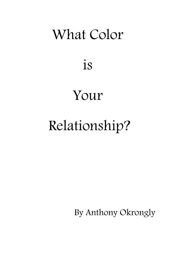# What Color

is

# Your

# Relationship?

By Anthony Okrongly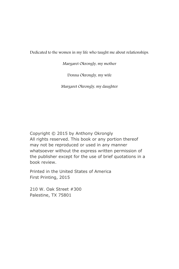Dedicated to the women in my life who taught me about relationships.

Margaret Okrongly, my mother

Donna Okrongly, my wife

Margaret Okrongly, my daughter

Copyright © 2015 by Anthony Okrongly All rights reserved. This book or any portion thereof may not be reproduced or used in any manner whatsoever without the express written permission of the publisher except for the use of brief quotations in a book review.

Printed in the United States of America First Printing, 2015

210 W. Oak Street #300 Palestine, TX 75801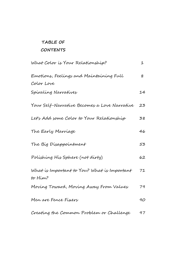## **TABLE OF CONTENTS**

| What Color is Your Relationship?                       | 1  |
|--------------------------------------------------------|----|
| Emotions, Feelings and Maintaining Full                | 8  |
| Color Love                                             |    |
| Spiraling Narratives                                   | 14 |
| Your Self-Narrative Becomes a Love Narrative           | 23 |
| Let's Add some Color to Your Relationship              | 38 |
| The Early Marriage                                     | 46 |
| The Big Disappointment                                 | 53 |
| Polishing His Sphere (not dirty)                       | 62 |
| What is Important to You? What is Important<br>fo Him? | 71 |
| Moving Toward, Moving Away From Values                 | 79 |
| Men are Fence Fixers                                   | 90 |
| Creating the Common Problem or Challenge               | 97 |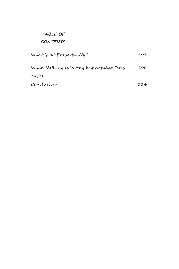## **TABLE OF CONTENTS**

| What is a "Probortunity"                | 101 |
|-----------------------------------------|-----|
| When Nothing is Wrong but Nothing Feels | 108 |
| Right                                   |     |
| Conclusion                              | 114 |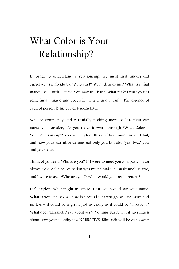# What Color is Your Relationship?

In order to understand a relationship, we must first understand ourselves as individuals. "Who am I? What defines me? What is it that makes me… well… me?" You may think that what makes you "you" is something unique and special… it is… and it isn't. The essence of each of person is his or her NARRATIVE.

We are completely and essentially nothing more or less than our narrative – or story. As you move forward through "What Color is Your Relationship?" you will explore this reality in much more detail, and how your narrative defines not only you but also "you two:" you and your love.

Think of yourself. Who are you? If I were to meet you at a party, in an alcove, where the conversation was muted and the music unobtrusive, and I were to ask, "Who are you?" what would you say in return?

Let's explore what might transpire. First, you would say your name. What is your name? A name is a sound that you go by – no more and no less – it could be a grunt just as easily as it could be "Elizabeth." What does "Elizabeth" say about you? Nothing per se, but it says much about how your identity is a NARRATIVE. Elizabeth will be our avatar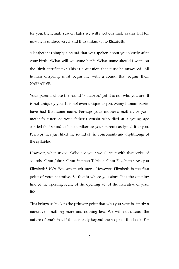for you, the female reader. Later we will meet our male avatar, but for now he is undiscovered, and thus unknown to Elizabeth.

"Elizabeth" is simply a sound that was spoken about you shortly after your birth. "What will we name her?" "What name should I write on the birth certificate?" This is a question that must be answered! All human offspring must begin life with a sound that begins their NARRATIVE.

Your parents chose the sound "Elizabeth," yet it is not who you are. It is not uniquely you. It is not even unique to you. Many human babies have had that same name. Perhaps your mother's mother, or your mother's sister, or your father's cousin who died at a young age carried that sound as her moniker, so your parents assigned it to you. Perhaps they just liked the sound of the consonants and diphthongs of the syllables.

However, when asked, "Who are you," we all start with that series of sounds. "I am John." "I am Stephen Tobias." "I am Elizabeth." Are you Elizabeth? NO! You are much more. However, Elizabeth is the first point of your narrative. So that is where you start. It is the opening line of the opening scene of the opening act of the narrative of your life.

This brings us back to the primary point that who you "are" is simply a narrative – nothing more and nothing less. We will not discuss the nature of one's "soul," for it is truly beyond the scope of this book. For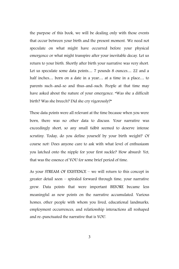the purpose of this book, we will be dealing only with those events that occur between your birth and the present moment. We need not speculate on what might have occurred before your physical emergence or what might transpire after your inevitable decay. Let us return to your birth. Shortly after birth your narrative was very short. Let us speculate some data points… 7 pounds 8 ounces… 22 and a half inches… born on a date in a year… at a time in a place… to parents such-and-so and thus-and-such. People at that time may have asked about the nature of your emergence. "Was she a difficult birth? Was she breech? Did she cry vigorously?"

These data points were all relevant at the time because when you were born, there was no other data to discuss. Your narrative was exceedingly short, so any small tidbit seemed to deserve intense scrutiny. Today, do you define yourself by your birth weight? Of course not! Does anyone care to ask with what level of enthusiasm you latched onto the nipple for your first suckle? How absurd! Yet, that was the essence of YOU for some brief period of time.

As your STREAM OF EXISTENCE – we will return to this concept in greater detail soon – spiraled forward through time, your narrative grew. Data points that were important BEFORE became less meaningful as new points on the narrative accumulated. Various homes, other people with whom you lived, educational landmarks, employment occurrences, and relationship interactions all reshaped and re-punctuated the narrative that is YOU.

3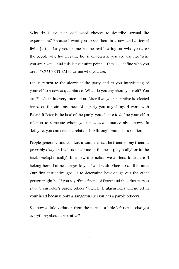Why do I use such odd word choices to describe normal life experiences? Because I want you to see them in a new and different light. Just as I say your name has no real bearing on "who you are," the people who live in same house or town as you are also not "who you are." Yet… and this is the entire point… they DO define who you are if YOU USE THEM to define who you are.

Let us return to the alcove at the party and to you introducing of yourself to a new acquaintance. What do you say about yourself? You are Elizabeth in every interaction. After that, your narrative is selected based on the circumstance. At a party you might say, "I work with Peter." If Peter is the host of the party, you choose to define yourself in relation to someone whom your new acquaintance also knows. In doing so, you can create a relationship through mutual association.

People generally find comfort in similarities. The friend of my friend is probably okay and will not stab me in the neck (physically) or in the back (metaphorically). In a new interaction we all tend to declare "I belong here; I'm no danger to you," and wish others to do the same. Our first instinctive goal is to determine how dangerous the other person might be. If you say "I'm a friend of Peter" and the other person says, "I am Peter's parole officer," then little alarm bells will go off in your head because only a dangerous person has a parole officers.

See how a little variation from the norm – a little left turn – changes everything about a narrative?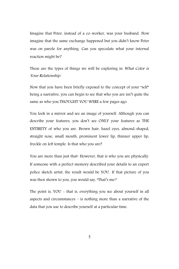Imagine that Peter, instead of a co-worker, was your husband. Now imagine that the same exchange happened but you didn't know Peter was on parole for anything. Can you speculate what your internal reaction might be?

These are the types of things we will be exploring in What Color is Your Relationship.

Now that you have been briefly exposed to the concept of your "self" being a narrative, you can begin to see that who you are isn't quite the same as who you THOUGHT YOU WERE a few pages ago.

You look in a mirror and see an image of yourself. Although you can describe your features, you don't see ONLY your features as THE ENTIRETY of who you are. Brown hair, hazel eyes, almond-shaped, straight nose, small mouth, prominent lower lip, thinner upper lip, freckle on left temple. Is that who you are?

You are more than just that! However, that is who you are physically. If someone with a perfect memory described your details to an expert police sketch artist, the result would be YOU. If that picture of you was then shown to you, you would say, "That's me!"

The point is, YOU - that is, everything you see about yourself in all aspects and circumstances – is nothing more than a narrative of the data that you use to describe yourself at a particular time.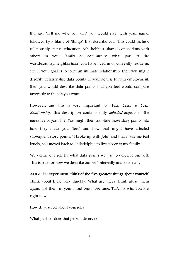If I say, "Tell me who you are," you would start with your name, followed by a litany of "things" that describe you. This could include relationship status, education, job, hobbies, shared connections with others in your family or community, what part of the world/country/neighborhood you have lived in or currently reside in, etc. If your goal is to form an intimate relationship, then you might describe relationship data points. If your goal is to gain employment, then you would describe data points that you feel would compare favorably to the job you want.

However, and this is very important to What Color is Your Relationship, this description contains only **selected** aspects of the narrative of your life. You might then translate those story points into how they made you "feel" and how that might have affected subsequent story points. "I broke up with John and that made me feel lonely, so I moved back to Philadelphia to live closer to my family."

We define our self by what data points we use to describe our self. This is true for how we describe our self internally and externally.

As a quick experiment, think of the five greatest things about yourself. Think about these very quickly. What are they? Think about them again. List them in your mind one more time. THAT is who you are right now.

How do you feel about yourself?

What partner does that person deserve?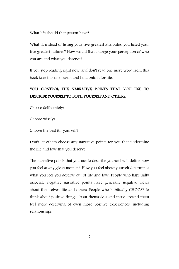What life should that person have?

What if, instead of listing your five greatest attributes, you listed your five greatest failures? How would that change your perception of who you are and what you deserve?

If you stop reading right now, and don't read one more word from this book take this one lesson and hold onto it for life.

#### YOU CONTROL THE NARRATIVE POINTS THAT YOU USE TO DESCRIBE YOURSELF TO BOTH YOURSELF AND OTHERS.

Choose deliberately!

Choose wisely!

Choose the best for yourself!

Don't let others choose any narrative points for you that undermine the life and love that you deserve.

The narrative points that you use to describe yourself will define how you feel at any given moment. How you feel about yourself determines what you feel you deserve out of life and love. People who habitually associate negative narrative points have generally negative views about themselves, life and others. People who habitually CHOOSE to think about positive things about themselves and those around them feel more deserving of even more positive experiences, including relationships.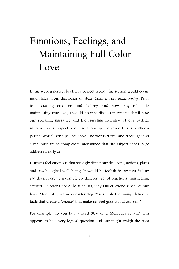# Emotions, Feelings, and Maintaining Full Color Love

If this were a perfect book in a perfect world, this section would occur much later in our discussion of What Color is Your Relationship. Prior to discussing emotions and feelings and how they relate to maintaining true love, I would hope to discuss in greater detail how our spiraling narrative and the spiraling narrative of our partner influence every aspect of our relationship. However, this is neither a perfect world, nor a perfect book. The words "Love" and "Feelings" and "Emotions" are so completely intertwined that the subject needs to be addressed early on.

Humans feel emotions that strongly direct our decisions, actions, plans and psychological well-being. It would be foolish to say that feeling sad doesn't create a completely different set of reactions than feeling excited. Emotions not only affect us, they DRIVE every aspect of our lives. Much of what we consider "logic" is simply the manipulation of facts that create a "choice" that make us "feel good about our self."

For example, do you buy a Ford SUV or a Mercedes sedan? This appears to be a very logical question and one might weigh the pros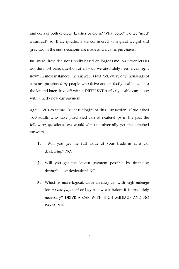and cons of both choices. Leather or cloth? What color? Do we "need" a sunroof? All these questions are considered with great weight and gravitas. In the end, decisions are made and a car is purchased.

But were those decisions really based on logic? Emotion never lets us ask the most basic question of all – do we absolutely need a car right now? In most instances, the answer is NO. Yet, every day thousands of cars are purchased by people who drive one perfectly usable car into the lot and later drive off with a DIFFERENT perfectly usable car, along with a hefty new car payment.

Again, let's examine the base "logic" of this transaction. If we asked 100 adults who have purchased cars at dealerships in the past the following questions, we would almost universally get the attached answers.

- **1.** Will you get the full value of your trade-in at a car dealership? NO.
- **2.** Will you get the lowest payment possible by financing through a car dealership? NO.
- **3.** Which is more logical, drive an okay car with high mileage for no car payment or buy a new car before it is absolutely necessary? DRIVE A CAR WITH HIGH MILEAGE AND NO PAYMENTS.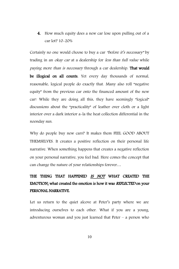4. How much equity does a new car lose upon pulling out of a car lot? 10-20%

Certainly no one would choose to buy a car "before it's necessary" by trading in an *okay car* at a dealership for *less than full value* while paying more than is necessary through a car dealership. That would be illogical on all counts. Yet every day thousands of normal, reasonable, logical people do exactly that. Many also roll "negative equity" from the previous car onto the financed amount of the new car! While they are doing all this, they have seemingly "logical" discussions about the "practicality" of leather over cloth or a light interior over a dark interior a-la the heat collection differential in the noonday sun.

Why do people buy new cars? It makes them FEEL GOOD ABOUT THEMSELVES. It creates a positive reflection on their personal life narrative. When something happens that creates a negative reflection on your personal narrative, you feel bad. Here comes the concept that can change the nature of your relationships forever…

### THE THING THAT HAPPENED IS NOT WHAT CREATED THE EMOTION; what created the emotion is how it was REFLECTED on your PERSONAL NARRATIVE.

Let us return to the quiet alcove at Peter's party where we are introducing ourselves to each other. What if you are a young, adventurous woman and you just learned that Peter – a person who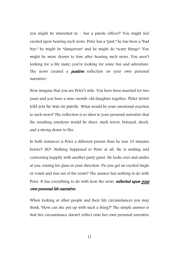you might be interested in – has a parole officer? You might feel excited upon hearing such news. Peter has a "past," he has been a "bad boy," he might be "dangerous" and he might do "scary things." You might be more drawn to him after hearing such news. You aren't looking for a life mate; you're looking for some fun and adventure. The news created a **positive** reflection on your own personal narrative!

Now imagine that you are Peter's wife. You have been married for two years and you have a nine-month-old daughter together. Peter never told you he was on parole. What would be your emotional reaction to such news? The reflection is so alien to your personal narrative that the resulting emotions would be sheer, stark terror, betrayal, shock, and a strong desire to flee.

In both instances is Peter a different person than he was 10 minutes before? NO! Nothing happened to Peter at all. He is smiling and conversing happily with another party guest. He looks over and smiles at you, raising his glass in your direction. Do you get an excited tingle or vomit and run out of the room? The answer has nothing to do with Peter. It has everything to do with how the news reflected upon your own personal life narrative.

When looking at other people and their life circumstances you may think, "How can she put up with such a thing?" The simple answer is that her circumstance doesn't reflect onto her own personal narrative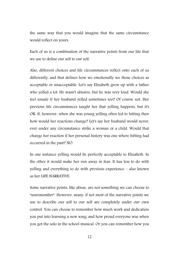the same way that you would imagine that the same circumstance would reflect on yours.

Each of us is a combination of the narrative points from our life that we use to define our self to our self.

Also, different choices and life circumstances reflect onto each of us differently, and that defines how we emotionally see those choices as acceptable or unacceptable. Let's say Elizabeth grew up with a father who yelled a lot. He wasn't abusive, but he was very loud. Would she feel unsafe if her husband yelled sometimes too? Of course not. Her previous life circumstances taught her that yelling happens, but it's OK. If, however, when she was young yelling often led to hitting then how would her reactions change? Let's say her husband would never, ever under any circumstance strike a woman or a child. Would that change her reaction if her personal history was one where hitting had occurred in the past? NO.

In one instance yelling would be perfectly acceptable to Elizabeth. In the other it would make her run away in fear. It has less to do with yelling and everything to do with previous experience – also known as her LIFE NARRATIVE.

Some narrative points, like abuse, are not something we can choose to "unremember". However, many, if not most of the narrative points we use to describe our self to our self are completely under our own control. You can choose to remember how much work and dedication you put into learning a new song; and how proud everyone was when you got the solo in the school musical. Or you can remember how you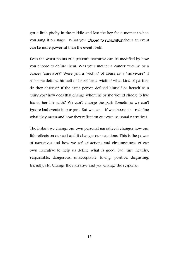got a little pitchy in the middle and lost the key for a moment when you sang it on stage. What you *choose to remember* about an event can be more powerful than the event itself.

Even the worst points of a person's narrative can be modified by how you choose to define them. Was your mother a cancer "victim" or a cancer "survivor?" Were you a "victim" of abuse or a "survivor?" If someone defined himself or herself as a "victim" what kind of partner do they deserve? If the same person defined himself or herself as a "survivor" how does that change whom he or she would choose to live his or her life with? We can't change the past. Sometimes we can't ignore bad events in our past. But we can – if we choose to – redefine what they mean and how they reflect on our own personal narrative!

The instant we change our own personal narrative it changes how our life reflects on our self and it changes our reactions. This is the power of narratives and how we reflect actions and circumstances of our own narrative to help us define what is good, bad, fun, healthy, responsible, dangerous, unacceptable, loving, positive, disgusting, friendly, etc. Change the narrative and you change the response.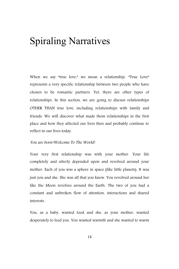# Spiraling Narratives

When we say "true love," we mean a relationship. "True Love" represents a very specific relationship between two people who have chosen to be romantic partners. Yet, there are other types of relationships. In this section, we are going to discuss relationships OTHER THAN true love, including relationships with family and friends. We will discover what made them relationships in the first place and how they affected our lives then and probably continue to reflect in our lives today.

#### You are born!Welcome To The World!

Your very first relationship was with your mother. Your life completely and utterly depended upon and revolved around your mother. Each of you was a sphere in space (like little planets). It was just you and she. She was all that you knew. You revolved around her like the Moon revolves around the Earth. The two of you had a constant and unbroken flow of attention, interactions and shared interests.

You, as a baby, wanted food and she, as your mother, wanted desperately to feed you. You wanted warmth and she wanted to warm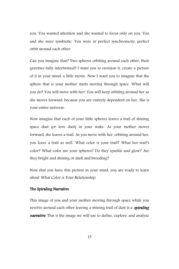you. You wanted attention and she wanted to focus only on you. You and she were symbiotic. You were in perfect synchronicity, perfect orbit around each other.

Can you imagine that? Two spheres orbiting around each other, their gravities fully intertwined? I want you to envision it, create a picture of it in your mind, a little movie. Now I want you to imagine that the sphere that is your mother starts moving through space. What will you do? You will move with her! You will keep orbiting around her as she moves forward, because you are entirely dependent on her. She is your entire universe.

Now imagine that each of your little spheres leaves a trail of shining space dust (or love dust) in your wake. As your mother moves forward, she leaves a trail. As you move with her, orbiting around her, you leave a trail as well. What color is your trail? What her trail's color? What color are your spheres? Do they sparkle and glow? Are they bright and shining or dark and brooding?

Now that you have this picture in your mind, you are ready to learn about What Color is Your Relationship.

#### The Spiraling Narrative

This image of you and your mother moving through space while you revolve around each other leaving a shining trail of dust is a *spiraling* **narrative**. This is the image we will use to define, explore, and analyze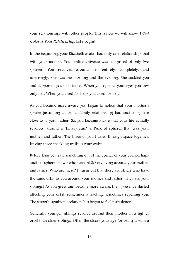your relationships with other people. This is how we will know What Color is Your Relationship. Let's begin!

In the beginning, your Elizabeth avatar had only one relationship, that with your mother. Your entire universe was comprised of only two spheres. You revolved around her entirely, completely, and unerringly. She was the morning and the evening. She suckled you and supported your existence. When you opened your eyes you saw only her. When you cried for help, you cried for her.

As you became more aware you began to notice that your mother's sphere (assuming a normal family relationship) had another sphere close to it: your father. So, you became aware that your life actually revolved around a "binary sun," a PAIR of spheres that was your mother and father. The three of you hurled through space together, leaving three sparkling trails in your wake.

Before long you saw something out of the corner of your eye, perhaps another sphere or two who were ALSO revolving around your mother and father. Who are these? It turns out that there are others who have the same orbit as you around your mother and father. They are your siblings! As you grew and became more aware, their presence started affecting your orbit, sometimes attracting, sometimes repelling you. The smooth, symbiotic relationship began to feel turbulence.

Generally younger siblings revolve around their mother in a tighter orbit than older siblings. Often the closer your age (or orbit) is with a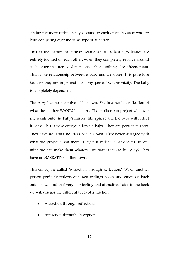sibling the more turbulence you cause to each other, because you are both competing over the same type of attention.

This is the nature of human relationships. When two bodies are entirely focused on each other, when they completely revolve around each other in utter co-dependence, then nothing else affects them. This is the relationship between a baby and a mother. It is pure love because they are in perfect harmony, perfect synchronicity. The baby is completely dependent.

The baby has no narrative of her own. She is a perfect reflection of what the mother WANTS her to be. The mother can project whatever she wants onto the baby's mirror-like sphere and the baby will reflect it back. This is why everyone loves a baby. They are perfect mirrors. They have no faults, no ideas of their own. They never disagree with what we project upon them. They just reflect it back to us. In our mind we can make them whatever we want them to be. Why? They have no NARRATIVE of their own.

This concept is called "Attraction through Reflection." When another person perfectly reflects our own feelings, ideas, and emotions back onto us, we find that very comforting and attractive. Later in the book we will discuss the different types of attraction:

- Attraction through reflection.
- Attraction through absorption.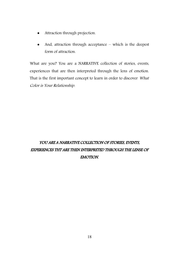- Attraction through projection.
- And, attraction through acceptance which is the deepest form of attraction.

What are you? You are a NARRATIVE collection of stories, events, experiences that are then interpreted through the lens of emotion. That is the first important concept to learn in order to discover What Color is Your Relationship.

## YOU ARE A NARRATIVE COLLECTION OF STORIES, EVENTS, EXPERIENCES THT ARE THEN INTERPRETED THROUGH THE LENSE OF EMOTION.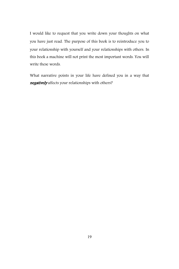I would like to request that you write down your thoughts on what you have just read. The purpose of this book is to reintroduce you to your relationship with yourself and your relationships with others. In this book a machine will not print the most important words. You will write these words.

What narrative points in your life have defined you in a way that negatively affects your relationships with others?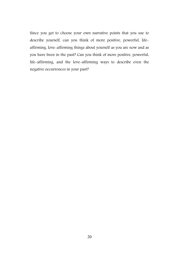Since you get to choose your own narrative points that you use to describe yourself, can you think of more positive, powerful, lifeaffirming, love-affirming things about yourself as you are now and as you have been in the past? Can you think of more positive, powerful, life-affirming, and the love-affirming ways to describe even the negative occurrences in your past?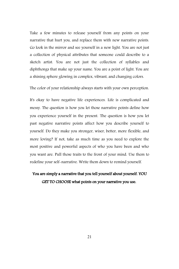Take a few minutes to release yourself from any points on your narrative that hurt you, and replace them with new narrative points. Go look in the mirror and see yourself in a new light. You are not just a collection of physical attributes that someone could describe to a sketch artist. You are not just the collection of syllables and diphthongs that make up your name. You are a point of light. You are a shining sphere glowing in complex, vibrant, and changing colors.

The color of your relationship always starts with your own perception.

It's okay to have negative life experiences. Life is complicated and messy. The question is how you let those narrative points define how you experience yourself in the present. The question is how you let past negative narrative points affect how you describe yourself to yourself. Do they make you stronger, wiser, better, more flexible, and more loving? If not, take as much time as you need to explore the most positive and powerful aspects of who you have been and who you want are. Pull those traits to the front of your mind. Use them to redefine your self-narrative. Write them down to remind yourself.

### You are simply a narrative that you tell yourself about yourself. YOU GET TO CHOOSE what points on your narrative you use.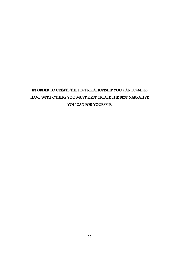## IN ORDER TO CREATE THE BEST RELATIONSHIP YOU CAN POSSIBLE HAVE WITH OTHERS YOU MUST FIRST CREATE THE BEST NARRATIVE YOU CAN FOR YOURSELF.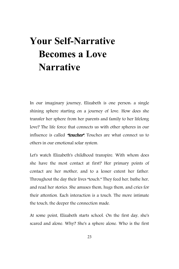# **Your Self-Narrative Becomes a Love Narrative**

In our imaginary journey, Elizabeth is one person: a single shining sphere starting on a journey of love. How does she transfer her sphere from her parents and family to her lifelong love? The life force that connects us with other spheres in our influence is called "touches". Touches are what connect us to others in our emotional solar system.

Let's watch Elizabeth's childhood transpire. With whom does she have the most contact at first? Her primary points of contact are her mother, and to a lesser extent her father. Throughout the day their lives "touch." They feed her, bathe her, and read her stories. She amuses them, hugs them, and cries for their attention. Each interaction is a touch. The more intimate the touch, the deeper the connection made.

At some point, Elizabeth starts school. On the first day, she's scared and alone. Why? She's a sphere alone. Who is the first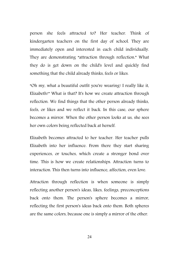person she feels attracted to? Her teacher. Think of kindergarten teachers on the first day of school. They are immediately open and interested in each child individually. They are demonstrating "attraction through reflection." What they do is get down on the child's level and quickly find something that the child already thinks, feels or likes.

"Oh my, what a beautiful outfit you're wearing! I really like it, Elizabeth!" What is that? It's how we create attraction through reflection. We find things that the other person already thinks, feels, or likes and we reflect it back. In this case, our sphere becomes a mirror. When the other person looks at us, she sees her own colors being reflected back at herself.

Elizabeth becomes attracted to her teacher. Her teacher pulls Elizabeth into her influence. From there they start sharing experiences, or touches, which create a stronger bond over time. This is how we create relationships. Attraction turns to interaction. This then turns into influence, affection, even love.

Attraction through reflection is when someone is simply reflecting another person's ideas, likes, feelings, preconceptions back onto them. The person's sphere becomes a mirror, reflecting the first person's ideas back onto them. Both spheres are the same colors, because one is simply a mirror of the other.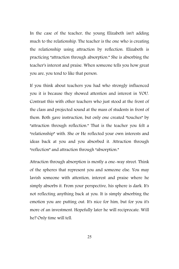In the case of the teacher, the young Elizabeth isn't adding much to the relationship. The teacher is the one who is creating the relationship using attraction by reflection. Elizabeth is practicing "attraction through absorption." She is absorbing the teacher's interest and praise. When someone tells you how great you are, you tend to like that person.

If you think about teachers you had who strongly influenced you it is because they showed attention and interest in YOU. Contrast this with other teachers who just stood at the front of the class and projected sound at the mass of students in front of them. Both gave instruction, but only one created "touches" by "attraction through reflection." That is the teacher you felt a "relationship" with. She or He reflected your own interests and ideas back at you and you absorbed it. Attraction through "reflection" and attraction through "absorption."

Attraction through absorption is mostly a one-way street. Think of the spheres that represent you and someone else. You may lavish someone with attention, interest and praise where he simply absorbs it. From your perspective, his sphere is dark. It's not reflecting anything back at you. It is simply absorbing the emotion you are putting out. It's nice for him, but for you it's more of an investment. Hopefully later he will reciprocate. Will he? Only time will tell.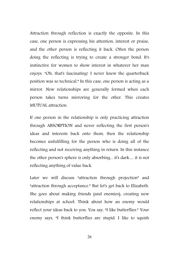Attraction through reflection is exactly the opposite. In this case, one person is expressing his attention, interest or praise, and the other person is reflecting it back. Often the person doing the reflecting is trying to create a stronger bond. It's instinctive for women to show interest in whatever her man enjoys. "Oh, that's fascinating! I never knew the quarterback position was so technical." In this case, one person is acting as a mirror. New relationships are generally formed when each person takes turns mirroring for the other. This creates MUTUAL attraction.

If one person in the relationship is only practicing attraction through ABSORPTION and never reflecting the first person's ideas and interests back onto them, then the relationship becomes unfulfilling for the person who is doing all of the reflecting and not receiving anything in return. In this instance the other person's sphere is only absorbing... it's dark… it is not reflecting anything of value back.

Later we will discuss "attraction through projection" and "attraction through acceptance." But let's get back to Elizabeth. She goes about making friends (and enemies), creating new relationships at school. Think about how an enemy would reflect your ideas back to you. You say, "I like butterflies." Your enemy says, "I think butterflies are stupid. I like to squish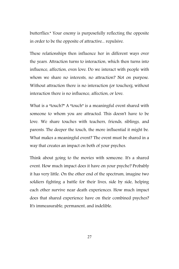butterflies." Your enemy is purposefully reflecting the opposite in order to be the opposite of attractive... repulsive.

These relationships then influence her in different ways over the years. Attraction turns to interaction, which then turns into influence, affection, even love. Do we interact with people with whom we share no interests, no attraction? Not on purpose. Without attraction there is no interaction (or touches); without interaction there is no influence, affection, or love.

What is a "touch?" A "touch" is a meaningful event shared with someone to whom you are attracted. This doesn't have to be love. We share touches with teachers, friends, siblings, and parents. The deeper the touch, the more influential it might be. What makes a meaningful event? The event must be shared in a way that creates an impact on both of your psyches.

Think about going to the movies with someone. It's a shared event. How much impact does it have on your psyche? Probably it has very little. On the other end of the spectrum, imagine two soldiers fighting a battle for their lives, side by side, helping each other survive near death experiences. How much impact does that shared experience have on their combined psyches? It's immeasurable, permanent, and indelible.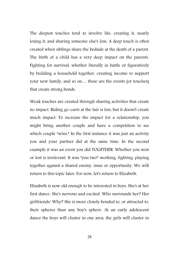The deepest touches tend to involve life: creating it, nearly losing it, and sharing someone else's loss. A deep touch is often created when siblings share the bedside at the death of a parent. The birth of a child has a very deep impact on the parents. Fighting for survival, whether literally in battle or figuratively by building a household together, creating income to support your new family, and so on… these are the events (or touches) that create strong bonds.

Weak touches are created through sharing activities that create no impact. Riding go-carts at the fair is fun, but it doesn't create much impact. To increase the impact for a relationship, you might bring another couple and have a competition to see which couple "wins." In the first instance it was just an activity you and your partner did at the same time. In the second example it was an event you did TOGETHER. Whether you won or lost is irrelevant. It was "you two" working, fighting, playing together against a shared enemy, issue or opportunity. We will return to this topic later. For now, let's return to Elizabeth.

Elizabeth is now old enough to be interested in boys. She's at her first dance. She's nervous and excited. Who surrounds her? Her girlfriends! Why? She is more closely bonded to, or attracted to, their spheres than any boy's sphere. At an early adolescent dance the boys will cluster in one area, the girls will cluster in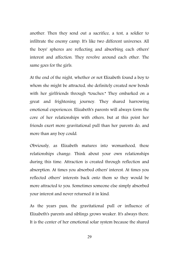another. Then they send out a sacrifice, a test, a soldier to infiltrate the enemy camp. It's like two different universes. All the boys' spheres are reflecting and absorbing each others' interest and affection. They revolve around each other. The same goes for the girls.

At the end of the night, whether or not Elizabeth found a boy to whom she might be attracted, she definitely created new bonds with her girlfriends through "touches." They embarked on a great and frightening journey. They shared harrowing emotional experiences. Elizabeth's parents will always form the core of her relationships with others, but at this point her friends exert more gravitational pull than her parents do, and more than any boy could.

Obviously, as Elizabeth matures into womanhood, these relationships change. Think about your own relationships during this time. Attraction is created through reflection and absorption. At times you absorbed others' interest. At times you reflected others' interests back onto them so they would be more attracted to you. Sometimes someone else simply absorbed your interest and never returned it in kind.

As the years pass, the gravitational pull or influence of Elizabeth's parents and siblings grows weaker. It's always there. It is the center of her emotional solar system because the shared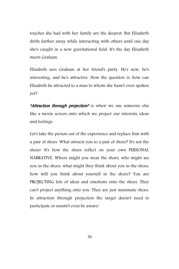touches she had with her family are the deepest. But Elizabeth drifts farther away while interacting with others until one day she's caught in a new gravitational field. It's the day Elizabeth meets Graham.

Elizabeth sees Graham at her friend's party. He's new, he's interesting, and he's attractive. Now the question is: how can Elizabeth be attracted to a man to whom she hasn't even spoken yet?

**"Attraction through projection"** is when we use someone else like a movie screen onto which we project our interests, ideas and feelings.

Let's take the person out of the experience and replace him with a pair of shoes. What attracts you to a pair of shoes? It's not the shoes! It's how the shoes reflect on your own PERSONAL NARRATIVE. Where might you wear the shoes, who might see you in the shoes, what might they think about you in the shoes, how will you think about yourself in the shoes? You are PROJECTING lots of ideas and emotions onto the shoes. They can't project anything onto you. They are just inanimate shoes. In attraction through projection the target doesn't need to participate or mustn't even be aware!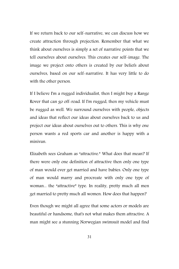If we return back to our self-narrative, we can discuss how we create attraction through projection. Remember that what we think about ourselves is simply a set of narrative points that we tell ourselves about ourselves. This creates our self-image. The image we project onto others is created by our beliefs about ourselves, based on our self-narrative. It has very little to do with the other person.

If I believe I'm a rugged individualist, then I might buy a Range Rover that can go off-road. If I'm rugged, then my vehicle must be rugged as well. We surround ourselves with people, objects and ideas that reflect our ideas about ourselves back to us and project our ideas about ourselves out to others. This is why one person wants a red sports car and another is happy with a minivan.

Elizabeth sees Graham as "attractive." What does that mean? If there were only one definition of attractive then only one type of man would ever get married and have babies. Only one type of man would marry and procreate with only one type of woman... the "attractive" type. In reality, pretty much all men get married to pretty much all women. How does that happen?

Even though we might all agree that some actors or models are beautiful or handsome, that's not what makes them attractive. A man might see a stunning Norwegian swimsuit model and find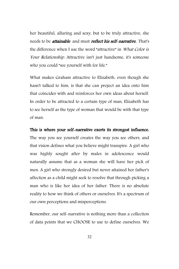her beautiful, alluring and sexy, but to be truly attractive, she needs to be **attainable** and must **reflect his self-narrative**. That's the difference when I use the word "attractive" in What Color is Your Relationship. Attractive isn't just handsome, it's someone who you could "see yourself with for life."

What makes Graham attractive to Elizabeth, even though she hasn't talked to him, is that she can project an idea onto him that coincides with and reinforces her own ideas about herself. In order to be attracted to a certain type of man, Elizabeth has to see herself as the type of woman that would be with that type of man.

#### This is where your self-narrative exerts its strongest influence.

The way you see yourself creates the way you see others, and that vision defines what you believe might transpire. A girl who was highly sought after by males in adolescence would naturally assume that as a woman she will have her pick of men. A girl who strongly desired but never attained her father's affection as a child might seek to resolve that through picking a man who is like her idea of her father. There is no absolute reality to how we think of others or ourselves. It's a spectrum of our own perceptions and misperceptions.

Remember, our self-narrative is nothing more than a collection of data points that we CHOOSE to use to define ourselves. We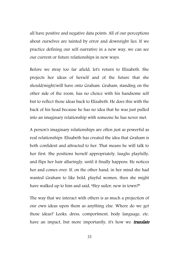all have positive and negative data points. All of our perceptions about ourselves are tainted by error and downright lies. If we practice defining our self-narrative in a new way, we can see our current or future relationships in new ways.

Before we stray too far afield, let's return to Elizabeth. She projects her ideas of herself and of the future that she should/might/will have onto Graham. Graham, standing on the other side of the room, has no choice with his handsome self but to reflect those ideas back to Elizabeth. He does this with the back of his head because he has no idea that he was just pulled into an imaginary relationship with someone he has never met.

A person's imaginary relationships are often just as powerful as real relationships. Elizabeth has created the idea that Graham is both confident and attracted to her. That means he will talk to her first. She positions herself appropriately, laughs playfully, and flips her hair alluringly, until it finally happens. He notices her and comes over. If, on the other hand, in her mind she had wanted Graham to like bold, playful women, then she might have walked up to him and said, "Hey sailor, new in town?"

The way that we interact with others is as much a projection of our own ideas upon them as anything else. Where do we get those ideas? Looks, dress, comportment, body language, etc. have an impact, but more importantly, it's how we **translate**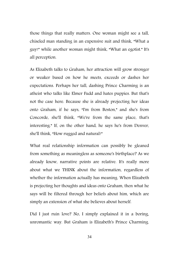those things that really matters. One woman might see a tall, chiseled man standing in an expensive suit and think, "What a guy!" while another woman might think, "What an egotist." It's all perception.

As Elizabeth talks to Graham, her attraction will grow stronger or weaker based on how he meets, exceeds or dashes her expectations. Perhaps her tall, dashing Prince Charming is an atheist who talks like Elmer Fudd and hates puppies. But that's not the case here. Because she is already projecting her ideas onto Graham, if he says, "I'm from Boston," and she's from Concorde, she'll think, "We're from the same place, that's interesting." If, on the other hand, he says he's from Denver, she'll think, "How rugged and natural!"

What real relationship information can possibly be gleaned from something as meaningless as someone's birthplace? As we already know, narrative points are relative. It's really more about what we THINK about the information, regardless of whether the information actually has meaning. When Elizabeth is projecting her thoughts and ideas onto Graham, then what he says will be filtered through her beliefs about him, which are simply an extension of what she believes about herself.

Did I just ruin love? No, I simply explained it in a boring, unromantic way. But Graham is Elizabeth's Prince Charming.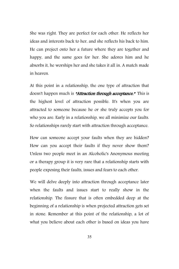She was right. They are perfect for each other. He reflects her ideas and interests back to her, and she reflects his back to him. He can project onto her a future where they are together and happy, and the same goes for her. She adores him and he absorbs it, he worships her and she takes it all in. A match made in heaven.

At this point in a relationship, the one type of attraction that doesn't happen much is "Attraction through acceptance." This is the highest level of attraction possible. It's when you are attracted to someone because he or she truly accepts you for who you are. Early in a relationship, we all minimize our faults. So relationships rarely start with attraction through acceptance.

How can someone accept your faults when they are hidden? How can you accept their faults if they never show them? Unless two people meet in an Alcoholic's Anonymous meeting or a therapy group it is very rare that a relationship starts with people exposing their faults, issues and fears to each other.

We will delve deeply into attraction through acceptance later when the faults and issues start to really show in the relationship. The fissure that is often embedded deep at the beginning of a relationship is when projected attraction gets set in stone. Remember at this point of the relationship, a lot of what you believe about each other is based on ideas you have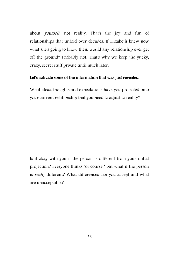about yourself, not reality. That's the joy and fun of relationships that unfold over decades. If Elizabeth knew now what she's going to know then, would any relationship ever get off the ground? Probably not. That's why we keep the yucky, crazy, secret stuff private until much later.

#### Let's activate some of the information that was just revealed.

What ideas, thoughts and expectations have you projected onto your current relationship that you need to adjust to reality?

Is it okay with you if the person is different from your initial projection? Everyone thinks "of course," but what if the person is really different? What differences can you accept and what are unacceptable?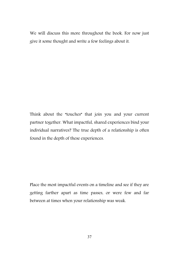We will discuss this more throughout the book. For now just give it some thought and write a few feelings about it.

Think about the "touches" that join you and your current partner together. What impactful, shared experiences bind your individual narratives? The true depth of a relationship is often found in the depth of these experiences.

Place the most impactful events on a timeline and see if they are getting farther apart as time passes, or were few and far between at times when your relationship was weak.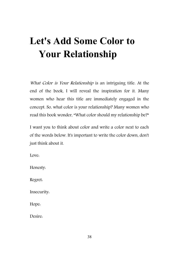# **Let's Add Some Color to Your Relationship**

What Color is Your Relationship is an intriguing title. At the end of the book, I will reveal the inspiration for it. Many women who hear this title are immediately engaged in the concept. So, what color is your relationship? Many women who read this book wonder, "What color should my relationship be?"

I want you to think about color and write a color next to each of the words below. It's important to write the color down, don't just think about it.

Love:

Honesty:

Regret:

Insecurity:

Hope:

Desire: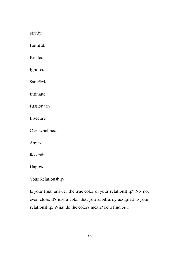Needy:

Faithful:

Excited:

Ignored:

Satisfied:

Intimate:

Passionate:

Insecure:

Overwhelmed:

Angry:

Receptive:

Happy:

Your Relationship:

Is your final answer the true color of your relationship? No, not even close. It's just a color that you arbitrarily assigned to your relationship. What do the colors mean? Let's find out.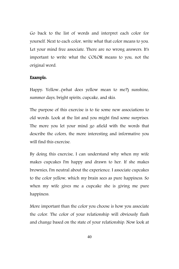Go back to the list of words and interpret each color for yourself. Next to each color, write what that color means to you. Let your mind free associate. There are no wrong answers. It's important to write what the COLOR means to you, not the original word.

#### Example:

Happy: Yellow...(what does yellow mean to me?) sunshine, summer days, bright spirits, cupcake, and skis.

The purpose of this exercise is to tie some new associations to old words. Look at the list and you might find some surprises. The more you let your mind go afield with the words that describe the colors, the more interesting and informative you will find this exercise.

By doing this exercise, I can understand why when my wife makes cupcakes I'm happy and drawn to her. If she makes brownies, I'm neutral about the experience. I associate cupcakes to the color yellow, which my brain sees as pure happiness. So when my wife gives me a cupcake she is giving me pure happiness.

More important than the color you choose is how you associate the color. The color of your relationship will obviously flash and change based on the state of your relationship. Now look at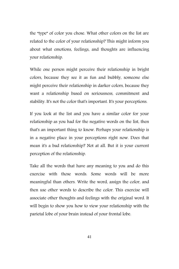the "type" of color you chose. What other colors on the list are related to the color of your relationship? This might inform you about what emotions, feelings, and thoughts are influencing your relationship.

While one person might perceive their relationship in bright colors, because they see it as fun and bubbly, someone else might perceive their relationship in darker colors, because they want a relationship based on seriousness, commitment and stability. It's not the color that's important. It's your perceptions.

If you look at the list and you have a similar color for your relationship as you had for the negative words on the list, then that's an important thing to know. Perhaps your relationship is in a negative place in your perceptions right now. Does that mean it's a bad relationship? Not at all. But it is your current perception of the relationship.

Take all the words that have any meaning to you and do this exercise with those words. Some words will be more meaningful than others. Write the word, assign the color, and then use other words to describe the color. This exercise will associate other thoughts and feelings with the original word. It will begin to show you how to view your relationship with the parietal lobe of your brain instead of your frontal lobe.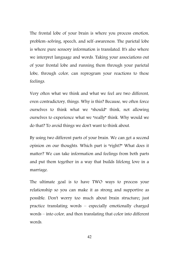The frontal lobe of your brain is where you process emotion, problem-solving, speech, and self-awareness. The parietal lobe is where pure sensory information is translated. It's also where we interpret language and words. Taking your associations out of your frontal lobe and running them through your parietal lobe, through color, can reprogram your reactions to these feelings.

Very often what we think and what we feel are two different, even contradictory, things. Why is this? Because, we often force ourselves to think what we "should" think, not allowing ourselves to experience what we "really" think. Why would we do that? To avoid things we don't want to think about.

By using two different parts of your brain. We can get a second opinion on our thoughts. Which part is "right?" What does it matter? We can take information and feelings from both parts and put them together in a way that builds lifelong love in a marriage.

The ultimate goal is to have TWO ways to process your relationship so you can make it as strong and supportive as possible. Don't worry too much about brain structure; just practice translating words – especially emotionally charged words – into color, and then translating that color into different words.

42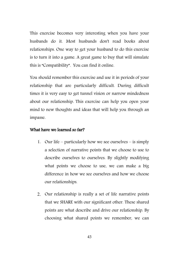This exercise becomes very interesting when you have your husbands do it. Most husbands don't read books about relationships. One way to get your husband to do this exercise is to turn it into a game. A great game to buy that will simulate this is "Compatibility". You can find it online.

You should remember this exercise and use it in periods of your relationship that are particularly difficult. During difficult times it is very easy to get tunnel vision or narrow mindedness about our relationship. This exercise can help you open your mind to new thoughts and ideas that will help you through an impasse.

#### What have we learned so far?

- 1. Our life particularly how we see ourselves is simply a selection of narrative points that we choose to use to describe ourselves to ourselves. By slightly modifying what points we choose to use, we can make a big difference in how we see ourselves and how we choose our relationships.
- 2. Our relationship is really a set of life narrative points that we SHARE with our significant other. These shared points are what describe and drive our relationship. By choosing what shared points we remember, we can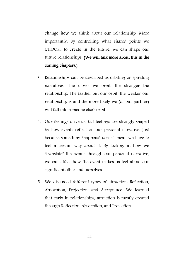change how we think about our relationship. More importantly, by controlling what shared points we CHOOSE to create in the future, we can shape our future relationships. (We will talk more about this in the coming chapters.)

- 3. Relationships can be described as orbiting or spiraling narratives. The closer we orbit, the stronger the relationship. The farther out our orbit, the weaker our relationship is and the more likely we (or our partner) will fall into someone else's orbit
- 4. Our feelings drive us, but feelings are strongly shaped by how events reflect on our personal narrative. Just because something "happens" doesn't mean we have to feel a certain way about it. By looking at how we "translate" the events through our personal narrative, we can affect how the event makes us feel about our significant other and ourselves.
- 5. We discussed different types of attraction: Reflection, Absorption, Projection, and Acceptance. We learned that early in relationships, attraction is mostly created through Reflection, Absorption, and Projection.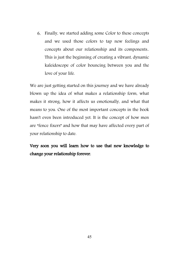6. Finally, we started adding some Color to these concepts and we used those colors to tap new feelings and concepts about our relationship and its components.. This is just the beginning of creating a vibrant, dynamic kaleidoscope of color bouncing between you and the love of your life.

We are just getting started on this journey and we have already blown up the idea of what makes a relationship form, what makes it strong, how it affects us emotionally, and what that means to you. One of the most important concepts in the book hasn't even been introduced yet. It is the concept of how men are "fence fixers" and how that may have affected every part of your relationship to date.

Very soon you will learn how to use that new knowledge to change your relationship forever.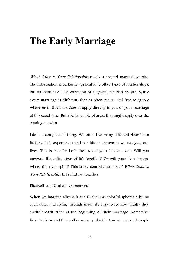## **The Early Marriage**

What Color is Your Relationship revolves around married couples. The information is certainly applicable to other types of relationships, but its focus is on the evolution of a typical married couple. While every marriage is different, themes often recur. Feel free to ignore whatever in this book doesn't apply directly to you or your marriage at this exact time. But also take note of areas that might apply over the coming decades.

Life is a complicated thing. We often live many different "lives" in a lifetime. Life experiences and conditions change as we navigate our lives. This is true for both the love of your life and you. Will you navigate the entire river of life together? Or will your lives diverge where the river splits? This is the central question of What Color is Your Relationship. Let's find out together.

#### Elizabeth and Graham get married!

When we imagine Elizabeth and Graham as colorful spheres orbiting each other and flying through space, it's easy to see how tightly they encircle each other at the beginning of their marriage. Remember how the baby and the mother were symbiotic. A newly married couple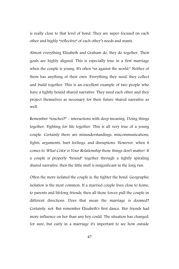is really close to that level of bond. They are super-focused on each other and highly "reflective" of each other's needs and wants.

Almost everything Elizabeth and Graham do, they do together. Their goals are highly aligned. This is especially true in a first marriage when the couple is young. It's often "us against the world." Neither of them has anything of their own. Everything they need, they collect and build together. This is an excellent example of two people who have a tightly bound shared narrative. They need each other and they project themselves as necessary for their future shared narrative as well.

Remember "touches?" - interactions with deep meaning. Doing things together. Fighting for life together. This is all very true of a young couple. Certainly there are misunderstandings, miscommunications, fights, arguments, hurt feelings, and disruptions. However, when it comes to What Color is Your Relationship those things don't matter! If a couple is properly "bound" together through a tightly spiraling shared narrative, then the little stuff is insignificant in the long run.

Often the more isolated the couple is, the tighter the bond. Geographic isolation is the most common. If a married couple lives close to home, to parents and lifelong friends, then all those forces pull the couple in different directions. Does that mean the marriage is doomed? Certainly, not. But remember Elizabeth's first dance. Her friends had more influence on her than any boy could. The situation has changed, for sure, but early in a marriage it's important to see how outside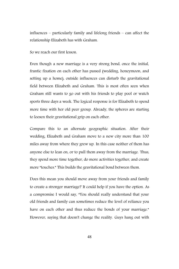influences – particularly family and lifelong friends – can affect the relationship Elizabeth has with Graham.

So we reach our first lesson.

Even though a new marriage is a very strong bond, once the initial, frantic fixation on each other has passed (wedding, honeymoon, and setting up a home), outside influences can disturb the gravitational field between Elizabeth and Graham. This is most often seen when Graham still wants to go out with his friends to play pool or watch sports three days a week. The logical response is for Elizabeth to spend more time with her old peer group. Already, the spheres are starting to loosen their gravitational grip on each other.

Compare this to an alternate geographic situation. After their wedding, Elizabeth and Graham move to a new city more than 100 miles away from where they grew up. In this case neither of them has anyone else to lean on, or to pull them away from the marriage. Thus, they spend more time together, do more activities together, and create more "touches." This builds the gravitational bond between them.

Does this mean you should move away from your friends and family to create a stronger marriage? It could help if you have the option. As a compromise I would say, "You should really understand that your old friends and family can sometimes reduce the level of reliance you have on each other and thus reduce the bonds of your marriage." However, saying that doesn't change the reality. Guys hang out with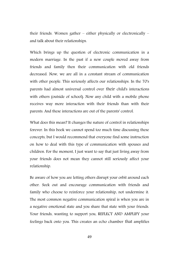their friends. Women gather – either physically or electronically – and talk about their relationships.

Which brings up the question of electronic communication in a modern marriage. In the past if a new couple moved away from friends and family then their communication with old friends decreased. Now, we are all in a constant stream of communication with other people. This seriously affects our relationships. In the 70's parents had almost universal control over their child's interactions with others (outside of school). Now any child with a mobile phone receives way more interaction with their friends than with their parents. And these interactions are out of the parents' control.

What does this mean? It changes the nature of control in relationships forever. In this book we cannot spend too much time discussing these concepts, but I would recommend that everyone find some instruction on how to deal with this type of communication with spouses and children. For the moment, I just want to say that just living away from your friends does not mean they cannot still seriously affect your relationship.

Be aware of how you are letting others disrupt your orbit around each other. Seek out and encourage communication with friends and family who choose to reinforce your relationship, not undermine it. The most common negative communication spiral is when you are in a negative emotional state and you share that state with your friends. Your friends, wanting to support you, REFLECT AND AMPLIFY your feelings back onto you. This creates an echo chamber that amplifies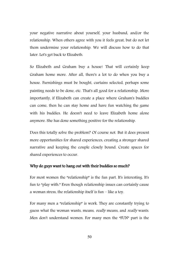your negative narrative about yourself, your husband, and/or the relationship. When others agree with you it feels great, but do not let them undermine your relationship. We will discuss how to do that later. Let's get back to Elizabeth.

So Elizabeth and Graham buy a house! That will certainly keep Graham home more. After all, there's a lot to do when you buy a house. Furnishings must be bought, curtains selected, perhaps some painting needs to be done, etc. That's all good for a relationship. More importantly, if Elizabeth can create a place where Graham's buddies can come, then he can stay home and have fun watching the game with his buddies. He doesn't need to leave Elizabeth home alone anymore. She has done something positive for the relationship.

Does this totally solve the problem? Of course not. But it does present more opportunities for shared experiences, creating a stronger shared narrative and keeping the couple closely bound. Create spaces for shared experiences to occur.

#### Why do guys want to hang out with their buddies so much?

For most women the "relationship" is the fun part. It's interesting. It's fun to "play with." Even though relationship issues can certainly cause a woman stress, the relationship itself is fun – like a toy.

For many men a "relationship" is work. They are constantly trying to guess what the woman wants, means, really means, and really wants. Men don't understand women. For many men the "FUN" part is the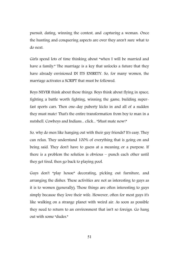pursuit, dating, winning the contest, and capturing a woman. Once the hunting and conquering aspects are over they aren't sure what to do next.

Girls spend lots of time thinking about "when I will be married and have a family." The marriage is a key that unlocks a future that they have already envisioned IN ITS ENIRETY. So, for many women, the marriage activates a SCRIPT that must be followed.

Boys NEVER think about those things. Boys think about flying in space, fighting a battle worth fighting, winning the game, building superfast sports cars. Then one-day puberty kicks in and all of a sudden they must mate! That's the entire transformation from boy to man in a nutshell. Cowboys and Indians... click... "Must mate now!"

So, why do men like hanging out with their guy friends? It's easy. They can relax. They understand 100% of everything that is going on and being said. They don't have to guess at a meaning or a purpose. If there is a problem the solution is obvious – punch each other until they get tired, then go back to playing pool.

Guys don't "play house" decorating, picking out furniture, and arranging the dishes. These activities are not as interesting to guys as it is to women (generally). Those things are often interesting to guys simply because they love their wife. However, often for most guys it's like walking on a strange planet with weird air. As soon as possible they need to return to an environment that isn't so foreign. Go hang out with some "dudes."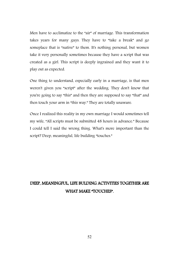Men have to acclimatize to the "air" of marriage. This transformation takes years for many guys. They have to "take a break" and go someplace that is "native" to them. It's nothing personal, but women take it very personally sometimes because they have a script that was created as a girl. This script is deeply ingrained and they want it to play out as expected.

One thing to understand, especially early in a marriage, is that men weren't given you "script" after the wedding. They don't know that you're going to say "this" and then they are supposed to say "that" and then touch your arm in "this way." They are totally unaware.

Once I realized this reality in my own marriage I would sometimes tell my wife, "All scripts must be submitted 48 hours in advance." Because I could tell I said the wrong thing. What's more important than the script? Deep, meaningful, life building "touches."

### DEEP, MEANINGFUL, LIFE BULDING ACTIVITIES TOGETHER ARE WHAT MAKE "TOUCHES".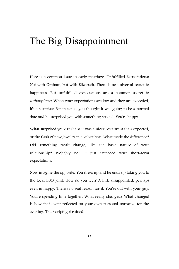## The Big Disappointment

Here is a common issue in early marriage. Unfulfilled Expectations! Not with Graham, but with Elizabeth. There is no universal secret to happiness. But unfulfilled expectations are a common secret to unhappiness. When your expectations are low and they are exceeded, it's a surprise! For instance, you thought it was going to be a normal date and he surprised you with something special. You're happy.

What surprised you? Perhaps it was a nicer restaurant than expected, or the flash of new jewelry in a velvet box. What made the difference? Did something "real" change, like the basic nature of your relationship? Probably not. It just exceeded your short-term expectations.

Now imagine the opposite. You dress up and he ends up taking you to the local BBQ joint. How do you feel? A little disappointed, perhaps even unhappy. There's no real reason for it. You're out with your guy. You're spending time together. What really changed? What changed is how that event reflected on your own personal narrative for the evening. The "script" got ruined.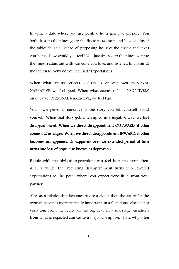Imagine a date where you are positive he is going to propose. You both dress to the nines, go to the finest restaurant, and have violins at the tableside. But instead of proposing he pays the check and takes you home. How would you feel? You just dressed to the nines, went to the finest restaurant with someone you love, and listened to violins at the tableside. Why do you feel bad? Expectations.

When what occurs reflects POSITIVELY on our own PERSONAL NARRATIVE, we feel good. When what occurs reflects NEGATIVELY on our own PERSONAL NARRATIVE, we feel bad.

Your own personal narrative is the story you tell yourself about yourself. When that story gets interrupted in a negative way, we feel disappointment. When we direct disappointment OUTWARD, it often comes out as anger. When we direct disappointment INWARD, it often becomes unhappiness. Unhappiness over an extended period of time turns into loss of hope, also known as depression.

People with the highest expectations can feel hurt the most often. After a while, that recurring disappointment turns into lowered expectations to the point where you expect very little from your partner.

Also, as a relationship becomes "more serious" then the script for the woman becomes more critically important. In a flirtatious relationship variations from the script are no big deal. In a marriage variations from what is expected can cause a major disruption. That's why often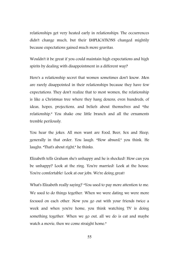relationships get very heated early in relationships. The occurrences didn't change much, but their IMPLICATIONS changed mightily because expectations gained much more gravitas.

Wouldn't it be great if you could maintain high expectations and high spirits by dealing with disappointment in a different way?

Here's a relationship secret that women sometimes don't know. Men are rarely disappointed in their relationships because they have few expectations. They don't realize that to most women, the relationship is like a Christmas tree where they hang dozens, even hundreds, of ideas, hopes, projections, and beliefs about themselves and "the relationship." You shake one little branch and all the ornaments tremble perilously.

You hear the jokes. All men want are Food, Beer, Sex and Sleep, generally in that order. You laugh. "How absurd," you think. He laughs. "That's about right," he thinks.

Elizabeth tells Graham she's unhappy and he is shocked! How can you be unhappy? Look at the ring. You're married! Look at the house. You're comfortable! Look at our jobs. We're doing great!

What's Elizabeth really saying? "You used to pay more attention to me. We used to do things together. When we were dating we were more focused on each other. Now you go out with your friends twice a week and when you're home, you think watching TV is doing something together. When we go out, all we do is eat and maybe watch a movie, then we come straight home."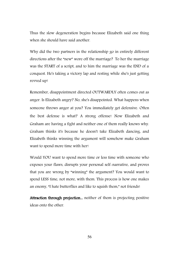Thus the slow degeneration begins because Elizabeth said one thing when she should have said another.

Why did the two partners in the relationship go in entirely different directions after the "new" wore off the marriage? To her the marriage was the START of a script, and to him the marriage was the END of a conquest. He's taking a victory lap and resting while she's just getting revved up!

Remember, disappointment directed OUTWARDLY often comes out as anger. Is Elizabeth angry? No, she's disappointed. What happens when someone throws anger at you? You immediately get defensive. Often the best defense is what? A strong offense! Now Elizabeth and Graham are having a fight and neither one of them really knows why. Graham thinks it's because he doesn't take Elizabeth dancing, and Elizabeth thinks winning the argument will somehow make Graham want to spend more time with her!

Would YOU want to spend more time or less time with someone who exposes your flaws, disrupts your personal self-narrative, and proves that you are wrong by "winning" the argument? You would want to spend LESS time, not more, with them. This process is how one makes an enemy, "I hate butterflies and like to squish them," not friends!

Attraction through projection... neither of them is projecting positive ideas onto the other.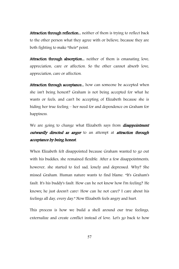Attraction through reflection... neither of them is trying to reflect back to the other person what they agree with or believe, because they are both fighting to make "their" point.

Attraction through absorption... neither of them is emanating love, appreciation, care or affection. So the other cannot absorb love, appreciation, care or affection.

Attraction through acceptance... how can someone be accepted when she isn't being honest? Graham is not being accepted for what he wants or feels, and can't be accepting of Elizabeth because she is hiding her true feeling – her need for and dependence on Graham for happiness.

We are going to change what Elizabeth says from *disappointment* outwardly directed as anger to an attempt at attraction through acceptance by being honest.

When Elizabeth felt disappointed because Graham wanted to go out with his buddies, she remained flexible. After a few disappointments, however, she started to feel sad, lonely and depressed. Why? She missed Graham. Human nature wants to find blame. "It's Graham's fault. It's his buddy's fault. How can he not know how I'm feeling? He knows; he just doesn't care! How can he not care? I care about his feelings all day, every day." Now Elizabeth feels angry and hurt.

This process is how we build a shell around our true feelings, externalize and create conflict instead of love. Let's go back to how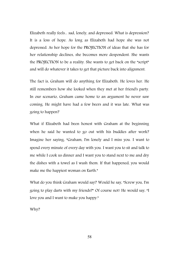Elizabeth really feels... sad, lonely, and depressed. What is depression? It is a loss of hope. As long as Elizabeth had hope she was not depressed. As her hope for the PROJECTION of ideas that she has for her relationship declines, she becomes more despondent. She wants the PROJECTION to be a reality. She wants to get back on the "script" and will do whatever it takes to get that picture back into alignment.

The fact is, Graham will do anything for Elizabeth. He loves her. He still remembers how she looked when they met at her friend's party. In our scenario, Graham came home to an argument he never saw coming. He might have had a few beers and it was late. What was going to happen?

What if Elizabeth had been honest with Graham at the beginning when he said he wanted to go out with his buddies after work? Imagine her saying, "Graham, I'm lonely and I miss you. I want to spend every minute of every day with you. I want you to sit and talk to me while I cook us dinner and I want you to stand next to me and dry the dishes with a towel as I wash them. If that happened, you would make me the happiest woman on Earth."

What do you think Graham would say? Would he say, "Screw you, I'm going to play darts with my friends?" Of course not! He would say, "I love you and I want to make you happy."

Why?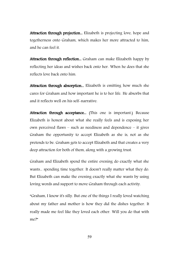Attraction through projection... Elizabeth is projecting love, hope and togetherness onto Graham, which makes her more attracted to him, and he can feel it.

Attraction through reflection... Graham can make Elizabeth happy by reflecting her ideas and wishes back onto her. When he does that she reflects love back onto him.

Attraction through absorption... Elizabeth is emitting how much she cares for Graham and how important he is to her life. He absorbs that and it reflects well on his self-narrative.

Attraction through acceptance... (This one is important.) Because Elizabeth is honest about what she really feels and is exposing her own perceived flaws – such as neediness and dependence – it gives Graham the opportunity to accept Elizabeth as she is, not as she pretends to be. Graham gets to accept Elizabeth and that creates a very deep attraction for both of them, along with a growing trust.

Graham and Elizabeth spend the entire evening do exactly what she wants... spending time together. It doesn't really matter what they do. But Elizabeth can make the evening exactly what she wants by using loving words and support to move Graham through each activity.

"Graham, I know it's silly. But one of the things I really loved watching about my father and mother is how they did the dishes together. It really made me feel like they loved each other. Will you do that with me?"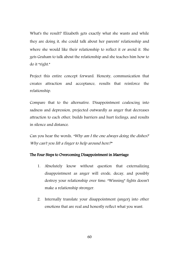What's the result? Elizabeth gets exactly what she wants and while they are doing it, she could talk about her parents' relationship and where she would like their relationship to reflect it or avoid it. She gets Graham to talk about the relationship and she teaches him how to do it "right."

Project this entire concept forward. Honesty, communication that creates attraction and acceptance, results that reinforce the relationship.

Compare that to the alternative. Disappointment coalescing into sadness and depression, projected outwardly as anger that decreases attraction to each other, builds barriers and hurt feelings, and results in silence and distance.

Can you hear the words, "Why am I the one always doing the dishes? Why can't you lift a finger to help around here?"

#### The Four Steps to Overcoming Disappointment in Marriage

- 1. Absolutely know without question that externalizing disappointment as anger will erode, decay, and possibly destroy your relationship over time. "Winning" fights doesn't make a relationship stronger.
- 2. Internally translate your disappointment (anger) into other emotions that are real and honestly reflect what you want.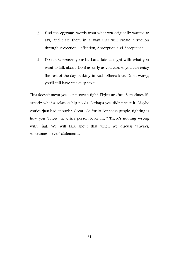- 3. Find the **opposite** words from what you originally wanted to say, and state them in a way that will create attraction through Projection, Reflection, Absorption and Acceptance.
- 4. Do not "ambush" your husband late at night with what you want to talk about. Do it as early as you can, so you can enjoy the rest of the day basking in each other's love. Don't worry; you'll still have "makeup sex."

This doesn't mean you can't have a fight. Fights are fun. Sometimes it's exactly what a relationship needs. Perhaps you didn't start it. Maybe you've "just had enough." Great! Go for it! For some people, fighting is how you "know the other person loves me." There's nothing wrong with that. We will talk about that when we discuss "always, sometimes, never" statements.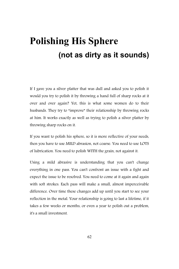# **Polishing His Sphere (not as dirty as it sounds)**

If I gave you a silver platter that was dull and asked you to polish it would you try to polish it by throwing a hand full of sharp rocks at it over and over again? Yet, this is what some women do to their husbands. They try to "improve" their relationship by throwing rocks at him. It works exactly as well as trying to polish a silver platter by throwing sharp rocks on it.

If you want to polish his sphere, so it is more reflective of your needs, then you have to use MILD abrasion, not coarse. You need to use LOTS of lubrication. You need to polish WITH the grain, not against it.

Using a mild abrasive is understanding that you can't change everything in one pass. You can't confront an issue with a fight and expect the issue to be resolved. You need to come at it again and again with soft strokes. Each pass will make a small, almost imperceivable difference. Over time these changes add up until you start to see your reflection in the metal. Your relationship is going to last a lifetime, if it takes a few weeks or months, or even a year to polish out a problem, it's a small investment.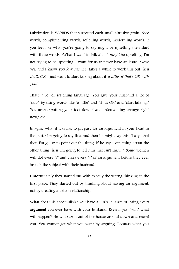Lubrication is WORDS that surround each small abrasive grain. Nice words, complimenting words, softening words, moderating words. If you feel like what you're going to say might be upsetting then start with those words. "What I want to talk about *might* be upsetting. I'm not trying to be upsetting. I want for us to never have an issue. I love you and I know you love me. If it takes a while to work this out then that's OK. I just want to start talking about it a little, if that's OK with you."

That's a lot of softening language. You give your husband a lot of "outs" by using words like "a little" and "if it's OK" and "start talking." You aren't "putting your foot down," and "demanding change right now," etc.

Imagine what it was like to prepare for an argument in your head in the past. "I'm going to say this, and then he might say this. If says that then I'm going to point out the thing. If he says something about the other thing then I'm going to tell him that isn't right..." Some women will dot every "i" and cross every "t" of an argument before they ever broach the subject with their husband.

Unfortunately they started out with exactly the wrong thinking in the first place. They started out by thinking about having an argument, not by creating a better relationship.

What does this accomplish? You have a 100% chance of losing every argument you ever have with your husband. Even if you "win" what will happen? He will storm out of the house or shut down and resent you. You cannot get what you want by arguing. Because what you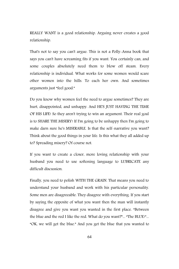REALLY WANT is a good relationship. Arguing never creates a good relationship.

That's not to say you can't argue. This is not a Polly-Anna book that says you can't have screaming fits if you want. You certainly can, and some couples absolutely need them to blow off steam. Every relationship is individual. What works for some women would scare other women into the hills. To each her own. And sometimes arguments just "feel good."

Do you know why women feel the need to argue sometimes? They are hurt, disappointed, and unhappy. And HE'S JUST HAVING THE TIME OF HIS LIFE! So they aren't trying to win an argument. Their real goal is to SHARE THE MISERY! If I'm going to be unhappy then I'm going to make darn sure he's MISERABLE. Is that the self-narrative you want? Think about the good things in your life. Is this what they all added up to? Spreading misery? Of course not.

If you want to create a closer, more loving relationship with your husband you need to use softening language to LUBRICATE any difficult discussion.

Finally, you need to polish WITH THE GRAIN. That means you need to understand your husband and work with his particular personality. Some men are disagreeable. They disagree with everything. If you start by saying the opposite of what you want then the man will instantly disagree and give you want you wanted in the first place. "Between the blue and the red I like the red. What do you want?"... "The BLUE!"... "OK, we will get the blue." And you get the blue that you wanted to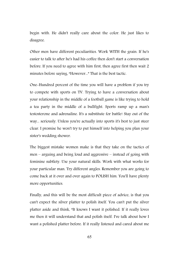begin with. He didn't really care about the color. He just likes to disagree.

Other men have different peculiarities. Work WITH the grain. If he's easier to talk to after he's had his coffee then don't start a conversation before. If you need to agree with him first, then agree first then wait 2 minutes before saying, "However..." That is the best tactic.

One-Hundred percent of the time you will have a problem if you try to compete with sports on TV. Trying to have a conversation about your relationship in the middle of a football game is like trying to hold a tea party in the middle of a bullfight. Sports ramp up a man's testosterone and adrenaline. It's a substitute for battle! Stay out of the way... seriously. Unless you're actually into sports it's best to just steer clear. I promise he won't try to put himself into helping you plan your sister's wedding shower.

The biggest mistake women make is that they take on the tactics of men – arguing and being loud and aggressive – instead of going with feminine subtlety. Use your natural skills. Work with what works for your particular man. Try different angles. Remember you are going to come back at it over and over again to POLISH him. You'll have plenty more opportunities.

Finally, and this will be the most difficult piece of advice, is that you can't expect the silver platter to polish itself. You can't put the silver platter aside and think, "It knows I want it polished. If it really loves me then it will understand that and polish itself. I've talk about how I want a polished platter before. If it really listened and cared about me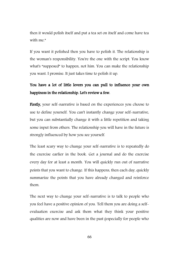then it would polish itself and put a tea set on itself and come have tea with me."

If you want it polished then you have to polish it. The relationship is the woman's responsibility. You're the one with the script. You know what's "supposed" to happen, not him. You can make the relationship you want. I promise. It just takes time to polish it up.

### You have a lot of little levers you can pull to influence your own happiness in the relationship. Let's review a few.

Firstly, your self-narrative is based on the experiences you choose to use to define yourself. You can't instantly change your self-narrative, but you can substantially change it with a little repetition and taking some input from others. The relationship you will have in the future is strongly influenced by how you see yourself.

The least scary way to change your self-narrative is to repeatedly do the exercise earlier in the book. Get a journal and do the exercise every day for at least a month. You will quickly run out of narrative points that you want to change. If this happens, then each day, quickly summarize the points that you have already changed and reinforce them.

The next way to change your self-narrative is to talk to people who you feel have a positive opinion of you. Tell them you are doing a selfevaluation exercise and ask them what they think your positive qualities are now and have been in the past (especially for people who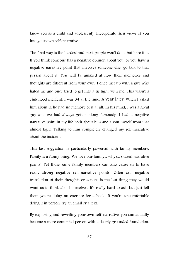knew you as a child and adolescent). Incorporate their views of you into your own self-narrative.

The final way is the hardest and most people won't do it, but here it is. If you think someone has a negative opinion about you, or you have a negative narrative point that involves someone else, go talk to that person about it. You will be amazed at how their memories and thoughts are different from your own. I once met up with a guy who hated me and once tried to get into a fistfight with me. This wasn't a childhood incident. I was 34 at the time. A year later, when I asked him about it, he had no memory of it at all. In his mind, I was a great guy and we had always gotten along famously. I had a negative narrative point in my life both about him and about myself from that almost fight. Talking to him completely changed my self-narrative about the incident.

This last suggestion is particularly powerful with family members. Family is a funny thing. We love our family... why?... shared narrative points! Yet those same family members can also cause us to have really strong negative self-narrative points. Often our negative translation of their thoughts or actions is the last thing they would want us to think about ourselves. It's really hard to ask, but just tell them you're doing an exercise for a book. If you're uncomfortable doing it in person, try an email or a text.

By exploring and rewriting your own self-narrative, you can actually become a more contented person with a deeply grounded foundation.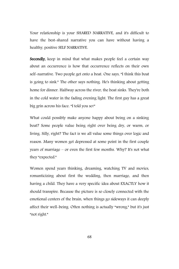Your relationship is your SHARED NARRATIVE, and it's difficult to have the best-shared narrative you can have without having a healthy, positive SELF NARRATIVE.

Secondly, keep in mind that what makes people feel a certain way about an occurrence is how that occurrence reflects on their own self-narrative. Two people get onto a boat. One says, "I think this boat is going to sink." The other says nothing. He's thinking about getting home for dinner. Halfway across the river, the boat sinks. They're both in the cold water in the fading evening light. The first guy has a great big grin across his face. "I told you so!"

What could possibly make anyone happy about being on a sinking boat? Some people value being right over being dry, or warm, or living. Silly, right? The fact is we all value some things over logic and reason. Many women get depressed at some point in the first couple years of marriage – or even the first few months. Why? It's not what they "expected."

Women spend years thinking, dreaming, watching TV and movies, romanticizing about first the wedding, then marriage, and then having a child. They have a very specific idea about EXACTLY how it should transpire. Because the picture is so closely connected with the emotional centers of the brain, when things go sideways it can deeply affect their well-being. Often nothing is actually "wrong," but it's just "not right."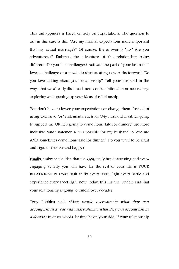This unhappiness is based entirely on expectations. The question to ask in this case is this: "Are my marital expectations more important that my actual marriage?" Of course, the answer is "no." Are you adventurous? Embrace the adventure of the relationship being different. Do you like challenges? Activate the part of your brain that loves a challenge or a puzzle to start creating new paths forward. Do you love talking about your relationship? Tell your husband in the ways that we already discussed: non-confrontational, non-accusatory, exploring and opening up your ideas of relationship.

You don't have to lower your expectations or change them. Instead of using exclusive "or" statements: such as, "My husband is either going to support me OR he's going to come home late for dinner;" use more inclusive "and" statements: "It's possible for my husband to love me AND sometimes come home late for dinner." Do you want to be right and rigid or flexible and happy?

Finally, embrace the idea that the ONE truly fun, interesting and everengaging activity you will have for the rest of your life is YOUR RELATIONSHIP! Don't rush to fix every issue, fight every battle and experience every facet right now, today, this instant. Understand that your relationship is going to unfold over decades.

Tony Robbins said, "Most people overestimate what they can accomplish in a year and underestimate what they can accomplish in a decade." In other words, let time be on your side. If your relationship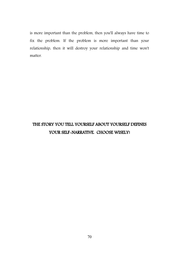is more important than the problem, then you'll always have time to fix the problem. If the problem is more important than your relationship, then it will destroy your relationship and time won't matter.

### THE STORY YOU TELL YOURSELF ABOUT YOURSELF DEFINES YOUR SELF-NARRATIVE. CHOOSE WISELY!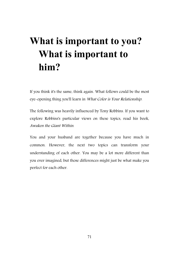# **What is important to you? What is important to him?**

If you think it's the same, think again. What follows could be the most eye-opening thing you'll learn in What Color is Your Relationship.

The following was heavily influenced by Tony Robbins. If you want to explore Robbins's particular views on these topics, read his book, Awaken the Giant Within.

You and your husband are together because you have much in common. However, the next two topics can transform your understanding of each other. You may be a lot more different than you ever imagined, but those differences might just be what make you perfect for each other.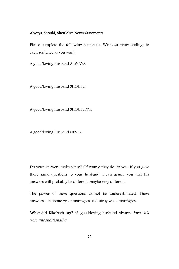#### Always, Should, Shouldn't, Never Statements

Please complete the following sentences. Write as many endings to each sentence as you want.

A good/loving husband ALWAYS:

A good/loving husband SHOULD:

A good/loving husband SHOULDN'T:

A good/loving husband NEVER:

Do your answers make sense? Of course they do...to you. If you gave these same questions to your husband, I can assure you that his answers will probably be different, maybe very different.

The power of these questions cannot be underestimated. These answers can create great marriages or destroy weak marriages.

What did Elizabeth say? "A good/loving husband always: loves his wife unconditionally."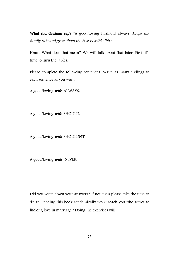What did Graham say? "A good/loving husband always: keeps his family safe and gives them the best possible life."

Hmm. What does that mean? We will talk about that later. First, it's time to turn the tables.

Please complete the following sentences. Write as many endings to each sentence as you want.

A good/loving wife ALWAYS.

A good/loving wife SHOULD:

A good/loving wife SHOULDN'T.

A good/loving **wife** NEVER.

Did you write down your answers? If not, then please take the time to do so. Reading this book academically won't teach you "the secret to lifelong love in marriage." Doing the exercises will.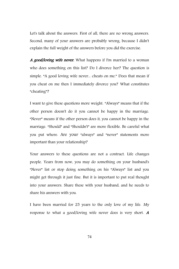Let's talk about the answers. First of all, there are no wrong answers. Second, many of your answers are probably wrong, because I didn't explain the full weight of the answers before you did the exercise.

A good/loving wife never. What happens if I'm married to a woman who does something on this list? Do I divorce her? The question is simple. "A good loving wife never... cheats on me." Does that mean if you cheat on me then I immediately divorce you? What constitutes "cheating"?

I want to give these questions more weight. "Always" means that if the other person doesn't do it you cannot be happy in the marriage. "Never" means if the other person does it, you cannot be happy in the marriage. "Should" and "Shouldn't" are more flexible. Be careful what you put where. Are your "always" and "never" statements more important than your relationship?

Your answers to these questions are not a contract. Life changes people. Years from now, you may do something on your husband's "Never" list or stop doing something on his "Always" list and you might get through it just fine. But it is important to put real thought into your answers. Share these with your husband, and he needs to share his answers with you.

I have been married for 25 years to the only love of my life. My response to what a good/loving wife never does is very short. <sup>A</sup>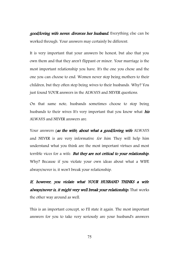good/loving wife never. divorces her husband. Everything else can be worked through. Your answers may certainly be different.

It is very important that your answers be honest, but also that you own them and that they aren't flippant or minor. Your marriage is the most important relationship you have. It's the one you chose and the one you can choose to end. Women never stop being mothers to their children, but they often stop being wives to their husbands. Why? You just found YOUR answers in the ALWAYS and NEVER questions.

On that same note, husbands sometimes choose to stop being husbands to their wives It's very important that you know what his ALWAYS and NEVER answers are.

Your answers (as the wife) about what a good/loving wife ALWAYS and NEVER is are very informative for him. They will help him understand what you think are the most important virtues and most terrible vices for a wife. But they are not critical to your relationship. Why? Because if you violate your own ideas about what a WIFE always/never is, it won't break your relationship.

If, however, you violate what YOUR HUSBAND THINKS <sup>a</sup> wife always/never is, it might very well break your relationship. That works the other way around as well.

This is an important concept, so I'll state it again. The most important answers for you to take very seriously are your husband's answers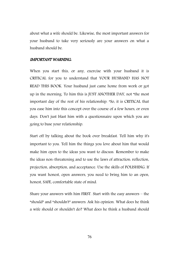about what a wife should be. Likewise, the most important answers for your husband to take very seriously are your answers on what a husband should be.

#### IMPORTANT WARNING:

When you start this, or any, exercise with your husband it is CRITICAL for you to understand that YOUR HUSBAND HAS NOT READ THIS BOOK. Your husband just came home from work or got up in the morning. To him this is JUST ANOTHER DAY, not "the most important day of the rest of his relationship. "So, it is CRITICAL that you ease him into this concept over the course of a few hours, or even days. Don't just blast him with a questionnaire upon which you are going to base your relationship.

Start off by talking about the book over breakfast. Tell him why it's important to you. Tell him the things you love about him that would make him open to the ideas you want to discuss. Remember to make the ideas non-threatening and to use the laws of attraction: reflection, projection, absorption, and acceptance. Use the skills of POLISHING. If you want honest, open answers, you need to bring him to an open, honest, SAFE, comfortable state of mind.

Share your answers with him FIRST. Start with the easy answers – the "should" and "shouldn't" answers. Ask his opinion. What does he think a wife should or shouldn't do? What does he think a husband should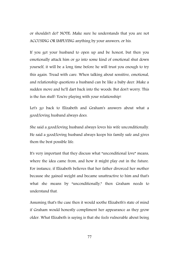or shouldn't do? NOTE: Make sure he understands that you are not ACCUSING OR IMPLYING anything by your answers, or his.

If you get your husband to open up and be honest, but then you emotionally attack him or go into some kind of emotional shut down yourself, it will be a long time before he will trust you enough to try this again. Tread with care. When talking about sensitive, emotional, and relationship questions a husband can be like a baby deer. Make a sudden move and he'll dart back into the woods. But don't worry. This is the fun stuff! You're playing with your relationship!

Let's go back to Elizabeth and Graham's answers about what a good/loving husband always does.

She said a good/loving husband always loves his wife unconditionally. He said a good/loving husband always keeps his family safe and gives them the best possible life.

It's very important that they discuss what "unconditional love" means, where the idea came from, and how it might play out in the future. For instance, if Elizabeth believes that her father divorced her mother because she gained weight and became unattractive to him and that's what she means by "unconditionally," then Graham needs to understand that.

Assuming that's the case then it would soothe Elizabeth's state of mind if Graham would honestly compliment her appearance as they grow older. What Elizabeth is saying is that she feels vulnerable about being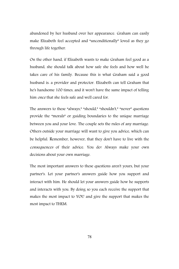abandoned by her husband over her appearance. Graham can easily make Elizabeth feel accepted and "unconditionally" loved as they go through life together.

On the other hand, if Elizabeth wants to make Graham feel good as a husband, she should talk about how safe she feels and how well he takes care of his family. Because this is what Graham said a good husband is: a provider and protector. Elizabeth can tell Graham that he's handsome 100 times, and it won't have the same impact of telling him *once* that she feels safe and well cared for.

The answers to these "always," "should," "shouldn't," "never" questions provide the "morals" or guiding boundaries to the unique marriage between you and your love. The couple sets the rules of any marriage. Others outside your marriage will want to give you advice, which can be helpful. Remember, however, that they don't have to live with the consequences of their advice. You do! Always make your own decisions about your own marriage.

The most important answers to these questions aren't yours, but your partner's. Let your partner's answers guide how you support and interact with him. He should let your answers guide how he supports and interacts with you. By doing so you each receive the support that makes the most impact to YOU and give the support that makes the most impact to THEM.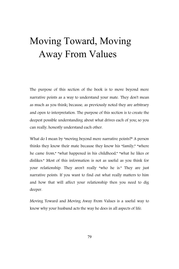## Moving Toward, Moving Away From Values

The purpose of this section of the book is to move beyond mere narrative points as a way to understand your mate. They don't mean as much as you think; because, as previously noted they are arbitrary and open to interpretation. The purpose of this section is to create the deepest possible understanding about what drives each of you; so you can really, honestly understand each other.

What do I mean by "moving beyond mere narrative points?" A person thinks they know their mate because they know his "family," "where he came from," "what happened in his childhood," "what he likes or dislikes." Most of this information is not as useful as you think for your relationship. They aren't really "who he is." They are just narrative points. If you want to find out what really matters to him and how that will affect your relationship then you need to dig deeper.

Moving Toward and Moving Away From Values is a useful way to know why your husband acts the way he does in all aspects of life.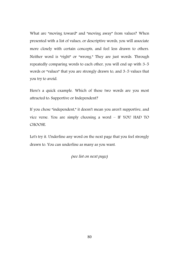What are "moving toward" and "moving away" from values? When presented with a list of values, or descriptive words, you will associate more closely with certain concepts, and feel less drawn to others. Neither word is "right" or "wrong." They are just words. Through repeatedly comparing words to each other, you will end up with 3-5 words or "values" that you are strongly drawn to, and 3-5 values that you try to avoid.

Here's a quick example. Which of these two words are you most attracted to: Supportive or Independent?

If you chose "independent," it doesn't mean you aren't supportive, and vice verse. You are simply choosing a word – IF YOU HAD TO CHOOSE.

Let's try it. Underline any word on the next page that you feel strongly drawn to. You can underline as many as you want.

(see list on next page)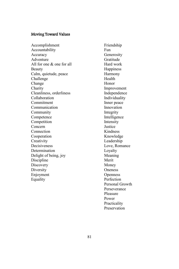#### Moving Toward Values

Accomplishment Accountability Accuracy Adventure All for one & one for all **Beauty** Calm, quietude, peace Challenge Change Charity Cleanliness, orderliness Collaboration Commitment Communication Community Competence Competition Concern **Connection** Cooperation **Creativity** Decisiveness Determination Delight of being, joy Discipline **Discovery Diversity** Enjoyment Equality

Friendship Fun Generosity Gratitude Hard work **Happiness** Harmony Health Honor Improvement Independence Individuality Inner peace Innovation Integrity Intelligence Intensity Justice Kindness Knowledge Leadership Love, Romance Loyalty Meaning Merit Money Oneness **Openness** Perfection Personal Growth Perseverance Pleasure Power Practicality Preservation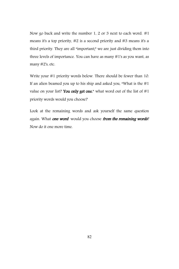Now go back and write the number 1, 2 or 3 next to each word. #1 means it's a top priority, #2 is a second priority and #3 means it's a third priority. They are all "important;" we are just dividing them into three levels of importance. You can have as many #1's as you want, as many #2's, etc.

Write your #1 priority words below. There should be fewer than 10. If an alien beamed you up to his ship and asked you, "What is the  $#1$ value on your list? You only get one," what word out of the list of  $#1$ priority words would you choose?

Look at the remaining words and ask yourself the same question again. What one word would you choose from the remaining words? Now do it one more time.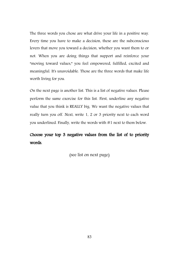The three words you chose are what drive your life in a positive way. Every time you have to make a decision, these are the subconscious levers that move you toward a decision, whether you want them to or not. When you are doing things that support and reinforce your "moving toward values," you feel empowered, fulfilled, excited and meaningful. It's unavoidable. Those are the three words that make life worth living for you.

On the next page is another list. This is a list of negative values. Please perform the same exercise for this list. First, underline any negative value that you think is REALLY big. We want the negative values that really turn you off. Next, write 1, 2 or 3 priority next to each word you underlined. Finally, write the words with #1 next to them below.

### Choose your top 3 negative values from the list of to priority words.

(see list on next page)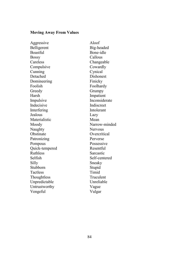#### **Moving Away From Values**

Aggressive Aloof Belligerent Big-headed Boastful Bone-idle Bossy Callous Careless Changeable Compulsive Cowardly Cunning Cynical Detached Dishonest Domineering Finicky Foolish Foolhardy Greedy Grumpy Harsh Impatient Impulsive Inconsiderate Indecisive Indiscreet Interfering Intolerant Jealous Lazy Materialistic Mean Moody Narrow-minded Naughty Nervous Obstinate Overcritical Patronizing Perverse Pompous Possessive Quick-tempered Resentful Ruthless Sarcastic Selfish Self-centered Silly Sneaky Stubborn Stupid<br>Tactless Timid Tactless Thoughtless Truculent Unpredictable Unreliable Untrustworthy Vague Vengeful Vulgar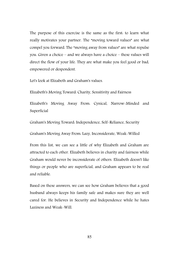The purpose of this exercise is the same as the first: to learn what really motivates your partner. The "moving toward values" are what compel you forward. The "moving away from values" are what repulse you. Given a choice – and we always have a choice – these values will direct the flow of your life. They are what make you feel good or bad, empowered or despondent.

Let's look at Elizabeth and Graham's values.

Elizabeth's Moving Toward: Charity, Sensitivity and Fairness

Elizabeth's Moving Away From: Cynical, Narrow-Minded and Superficial

Graham's Moving Toward: Independence, Self-Reliance, Security

Graham's Moving Away From: Lazy, Inconsiderate, Weak-Willed

From this list, we can see a little of why Elizabeth and Graham are attracted to each other. Elizabeth believes in charity and fairness while Graham would never be inconsiderate of others. Elizabeth doesn't like things or people who are superficial, and Graham appears to be real and reliable.

Based on these answers, we can see how Graham believes that a good husband always keeps his family safe and makes sure they are well cared for. He believes in Security and Independence while he hates Laziness and Weak-Will.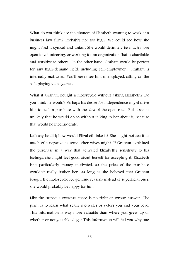What do you think are the chances of Elizabeth wanting to work at a business law firm? Probably not too high. We could see how she might find it cynical and unfair. She would definitely be much more open to volunteering, or working for an organization that is charitable and sensitive to others. On the other hand, Graham would be perfect for any high-demand field, including self-employment. Graham is internally motivated. You'll never see him unemployed, sitting on the sofa playing video games.

What if Graham bought a motorcycle without asking Elizabeth? Do you think he would? Perhaps his desire for independence might drive him to such a purchase with the idea of the open road. But it seems unlikely that he would do so without talking to her about it, because that would be inconsiderate.

Let's say he did; how would Elizabeth take it? She might not see it as much of a negative as some other wives might. If Graham explained the purchase in a way that activated Elizabeth's sensitivity to his feelings, she might feel good about herself for accepting it. Elizabeth isn't particularly money motivated, so the price of the purchase wouldn't really bother her. As long as she believed that Graham bought the motorcycle for genuine reasons instead of superficial ones, she would probably be happy for him.

Like the previous exercise, there is no right or wrong answer. The point is to learn what really motivates or deters you and your love. This information is way more valuable than where you grew up or whether or not you "like dogs." This information will tell you why one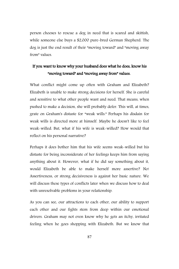person chooses to rescue a dog in need that is scared and skittish, while someone else buys a \$2,000 pure-bred German Shepherd. The dog is just the end result of their "moving toward" and "moving away from" values.

#### If you want to know why your husband does what he does, know his "moving toward" and "moving away from" values.

What conflict might come up often with Graham and Elizabeth? Elizabeth is unable to make strong decisions for herself. She is careful and sensitive to what other people want and need. That means, when pushed to make a decision, she will probably defer. This will, at times, grate on Graham's distaste for "weak wills." Perhaps his disdain for weak wills is directed more at himself. Maybe he doesn't like to feel weak-willed. But, what if his wife is weak-willed? How would that reflect on his personal narrative?

Perhaps it does bother him that his wife seems weak-willed but his distaste for being inconsiderate of her feelings keeps him from saying anything about it. However, what if he did say something about it, would Elizabeth be able to make herself more assertive? No! Assertiveness, or strong decisiveness is against her basic nature. We will discuss these types of conflicts later when we discuss how to deal with unresolvable problems in your relationship.

As you can see, our attractions to each other, our ability to support each other and our fights stem from deep within our emotional drivers. Graham may not even know why he gets an itchy, irritated feeling when he goes shopping with Elizabeth. But we know that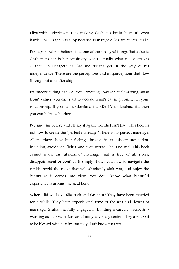Elizabeth's indecisiveness is making Graham's brain hurt. It's even harder for Elizabeth to shop because so many clothes are "superficial."

Perhaps Elizabeth believes that one of the strongest things that attracts Graham to her is her sensitivity when actually what really attracts Graham to Elizabeth is that she doesn't get in the way of his independence. These are the perceptions and misperceptions that flow throughout a relationship.

By understanding each of your "moving toward" and "moving away from" values, you can start to decode what's causing conflict in your relationship. If you can understand it... REALLY understand it... then you can help each other.

I've said this before and I'll say it again. Conflict isn't bad! This book is not how to create the "perfect marriage." There is no perfect marriage. All marriages have hurt feelings, broken trusts, miscommunication, irritation, avoidance, fights, and even worse. That's normal. This book cannot make an "abnormal" marriage that is free of all stress, disappointment or conflict. It simply shows you how to navigate the rapids, avoid the rocks that will absolutely sink you, and enjoy the beauty as it comes into view. You don't know what beautiful experience is around the next bend.

Where did we leave Elizabeth and Graham? They have been married for a while. They have experienced some of the ups and downs of marriage. Graham is fully engaged in building a career. Elizabeth is working as a coordinator for a family advocacy center. They are about to be blessed with a baby, but they don't know that yet.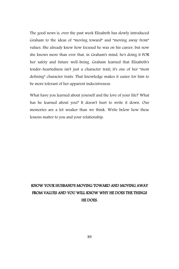The good news is, over the past week Elizabeth has slowly introduced Graham to the ideas of "moving toward" and "moving away from" values. She already knew how focused he was on his career, but now she knows more than ever that, in Graham's mind, he's doing it FOR her safety and future well-being. Graham learned that Elizabeth's tender-heartedness isn't just a character trait; it's one of her "most defining" character traits. That knowledge makes it easier for him to be more tolerant of her apparent indecisiveness.

What have you learned about yourself and the love of your life? What has he learned about you? It doesn't hurt to write it down. Our memories are a lot weaker than we think. Write below how these lessons matter to you and your relationship.

### KNOW YOUR HUSBAND'S MOVING TOWARD AND MOVING AWAY FROM VALUES AND YOU WILL KNOW WHY HE DOES THE THINGS HE DOES.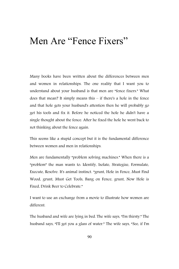## Men Are "Fence Fixers"

Many books have been written about the differences between men and women in relationships. The one reality that I want you to understand about your husband is that men are "fence fixers." What does that mean? It simply means this – if there's a hole in the fence and that hole gets your husband's attention then he will probably go get his tools and fix it. Before he noticed the hole he didn't have a single thought about the fence. After he fixed the hole he went back to not thinking about the fence again.

This seems like a stupid concept but it is the fundamental difference between women and men in relationships.

Men are fundamentally "problem solving machines." When there is a "problem" the man wants to: Identify, Isolate, Strategize, Formulate, Execute, Resolve. It's animal instinct. "grunt, Hole in Fence, Must Find Wood, grunt, Must Get Tools, Bang on Fence, grunt, Now Hole is Fixed, Drink Beer to Celebrate."

I want to use an exchange from a movie to illustrate how women are different.

The husband and wife are lying in bed. The wife says, "I'm thirsty." The husband says, "I'll get you a glass of water." The wife says, "See, if I'm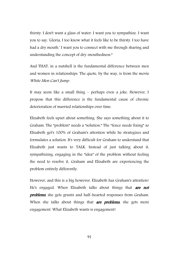thirsty. I don't want a glass of water. I want you to sympathize. I want you to say, 'Gloria, I too know what it feels like to be thirsty. I too have had a dry mouth.' I want you to connect with me through sharing and understanding the concept of dry-mouthedness."

And THAT, in a nutshell is the fundamental difference between men and women in relationships. The quote, by the way, is from the movie White Men Can't Jump.

It may seem like a small thing – perhaps even a joke. However, I propose that this difference is the fundamental cause of chronic deterioration of married relationships over time.

Elizabeth feels upset about something. She says something about it to Graham. The "problem" needs a "solution." The "fence needs fixing" so Elizabeth get's 100% of Graham's attention while he strategizes and formulates a solution. It's very difficult for Graham to understand that Elizabeth just wants to TALK. Instead of just talking about it, sympathizing, engaging in the "idea" of the problem without feeling the need to resolve it, Graham and Elizabeth are experiencing the problem entirely differently.

However, and this is a big however, Elizabeth has Graham's attention! He's engaged. When Elizabeth talks about things that **are not** problems, she gets grunts and half-hearted responses from Graham. When she talks about things that **are problems**, she gets more engagement. What Elizabeth wants is engagement!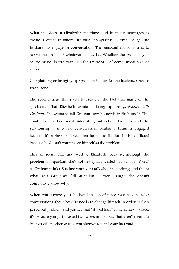What this does in Elizabeth's marriage, and in many marriages, is create a dynamic where the wife "complains" in order to get the husband to engage in conversation. The husband foolishly tries to "solve the problem" whatever it may be. Whether the problem gets solved or not is irrelevant. It's the DYNAMIC of communication that sticks.

Complaining or bringing up "problems" activates the husband's "fence fixer" gene.

The second issue this starts to create is the fact that many of the "problems" that Elizabeth wants to bring up are problems with Graham! She wants to tell Graham how he needs to fix himself. This combines her two most interesting subjects - Graham and the relationship - into one conversation. Graham's brain is engaged because it's a "broken fence" that he has to fix, but he is conflicted because he doesn't want to see himself as the problem.

This all seems fine and well to Elizabeth; because, although the problem is important, she's not nearly as invested in having it "fixed" as Graham thinks. She just wanted to talk about something, and this is what gets Graham's full attention – even though she doesn't consciously know why.

When you engage your husband in one of these "We need to talk" conversations about how he needs to change himself in order to fix a perceived problem and you see that "stupid look" come across his face, it's because you just crossed two wires in his head that aren't meant to be crossed. In other words, you short-circuited your husband.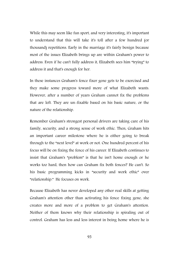While this may seem like fun sport, and very interesting, it's important to understand that this will take it's toll after a few hundred (or thousand) repetitions. Early in the marriage it's fairly benign because most of the issues Elizabeth brings up are within Graham's power to address. Even if he can't fully address it, Elizabeth sees him "trying" to address it and that's enough for her.

In these instances Graham's fence fixer gene gets to be exercised and they make some progress toward more of what Elizabeth wants. However, after a number of years Graham cannot fix the problems that are left. They are un-fixable based on his basic nature, or the nature of the relationship.

Remember Graham's strongest personal drivers are taking care of his family, security, and a strong sense of work ethic. Then, Graham hits an important career milestone where he is either going to break through to the "next level" at work or not. One hundred percent of his focus will be on fixing the fence of his career. If Elizabeth continues to insist that Graham's "problem" is that he isn't home enough or he works too hard, then how can Graham fix both fences? He can't. So his basic programming kicks in "security and work ethic" over "relationship." He focuses on work.

Because Elizabeth has never developed any other real skills at getting Graham's attention other than activating his fence fixing gene, she creates more and more of a problem to get Graham's attention. Neither of them knows why their relationship is spiraling out of control. Graham has less and less interest in being home where he is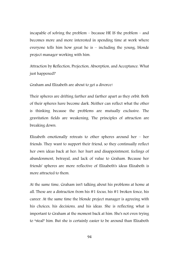incapable of solving the problem – because HE IS the problem – and becomes more and more interested in spending time at work where everyone tells him how great he is – including the young, blonde project manager working with him.

Attraction by Reflection, Projection, Absorption, and Acceptance. What just happened?

Graham and Elizabeth are about to get a divorce!

Their spheres are drifting farther and farther apart as they orbit. Both of their spheres have become dark. Neither can reflect what the other is thinking because the problems are mutually exclusive. The gravitation fields are weakening. The principles of attraction are breaking down.

Elizabeth emotionally retreats to other spheres around her – her friends. They want to support their friend, so they continually reflect her own ideas back at her: her hurt and disappointment, feelings of abandonment, betrayal, and lack of value to Graham. Because her friends' spheres are more reflective of Elizabeth's ideas Elizabeth is more attracted to them.

At the same time, Graham isn't talking about his problems at home at all. These are a distraction from his #1 focus, his #1 broken fence, his career. At the same time the blonde project manager is agreeing with his choices, his decisions, and his ideas. She is reflecting what is important to Graham at the moment back at him. She's not even trying to "steal" him. But she is certainly easier to be around than Elizabeth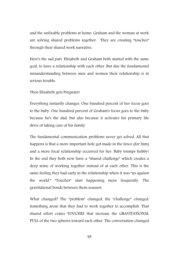and the unfixable problems at home. Graham and the woman at work are solving shared problems together. They are creating "touches" through their shared work narrative.

Here's the sad part. Elizabeth and Graham both started with the same goal, to have a relationship with each other. But due the fundamental misunderstanding between men and women their relationship is in serious trouble.

#### Then Elizabeth gets Pregnant!

Everything instantly changes. One hundred percent of her focus goes to the baby. One hundred percent of Graham's focus goes to the baby because he's the dad, but also because it activates his primary life drive of taking care of his family.

The fundamental communication problems never get solved. All that happens is that a more important hole got made in the fence (for him) and a more focal relationship occurred for her. Baby trumps hubby! In the end they both now have a "shared challenge" which creates a deep sense of working together instead of at each other. This is the same feeling they had early in the relationship when it was "us against the world." "Touches" start happening more frequently. The gravitational bonds between them reassert.

What changed? The "problem" changed, the "challenge" changed. Something arose that they had to work together to accomplish. That shared effort crates TOUCHES that increase the GRAVITATIONAL PULL of the two spheres toward each other. The conversation changed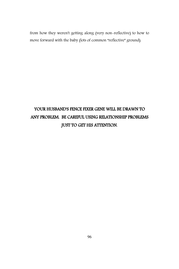from how they weren't getting along (very non-reflective) to how to move forward with the baby (lots of common "reflective" ground).

## YOUR HUSBAND'S FENCE FIXER GENE WILL BE DRAWN TO ANY PROBLEM. BE CAREFUL USING RELATIONSHIP PROBLEMS JUST TO GET HIS ATTENTION.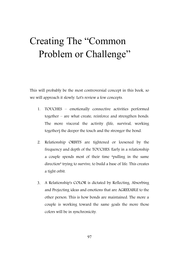## Creating The "Common Problem or Challenge"

This will probably be the most controversial concept in this book, so we will approach it slowly. Let's review a few concepts.

- 1. TOUCHES emotionally connective activities performed together – are what create, reinforce and strengthen bonds. The more visceral the activity (life, survival, working together) the deeper the touch and the stronger the bond.
- 2. Relationship ORBITS are tightened or loosened by the frequency and depth of the TOUCHES. Early in a relationship a couple spends most of their time "pulling in the same direction" trying to survive, to build a base of life. This creates a tight orbit.
- 3. A Relationship's COLOR is dictated by Reflecting, Absorbing and Projecting ideas and emotions that are AGREEABLE to the other person. This is how bonds are maintained. The more a couple is working toward the same goals the more those colors will be in synchronicity.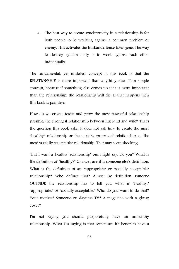4. The best way to create synchronicity in a relationship is for both people to be working against a common problem or enemy. This activates the husband's fence fixer gene. The way to destroy synchronicity is to work against each other individually.

The fundamental, yet unstated, concept in this book is that the RELATIONSHIP is more important than anything else. It's a simple concept, because if something else comes up that is more important than the relationship, the relationship will die. If that happens then this book is pointless.

How do we create, foster and grow the most powerful relationship possible, the strongest relationship between husband and wife? That's the question this book asks. It does not ask how to create the most "healthy" relationship or the most "appropriate" relationship, or the most "socially acceptable" relationship. That may seem shocking.

"But I want a 'healthy' relationship" one might say. Do you? What is the definition of "healthy?" Chances are it is someone else's definition. What is the definition of an "appropriate" or "socially acceptable" relationship? Who defines that? Almost by definition someone OUTSIDE the relationship has to tell you what is "healthy," "appropriate," or "socially acceptable." Who do you want to do that? Your mother? Someone on daytime TV? A magazine with a glossy cover?

I'm not saying you should purposefully have an unhealthy relationship. What I'm saying is that sometimes it's better to have a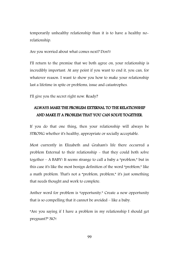temporarily unhealthy relationship than it is to have a healthy norelationship.

Are you worried about what comes next? Don't!

I'll return to the premise that we both agree on, your relationship is incredibly important. At any point if you want to end it, you can, for whatever reason. I want to show you how to make your relationship last a lifetime in spite or problems, issue and catastrophes.

I'll give you the secret right now. Ready?

#### ALWAYS MAKE THE PROBLEM EXTERNAL TO THE RELATIONSHIP AND MAKE IT A PROBLEM THAT YOU CAN SOLVE TOGETHER.

If you do that one thing, then your relationship will always be STRONG whether it's healthy, appropriate or socially acceptable.

Most currently in Elizabeth and Graham's life there occurred a problem External to their relationship - that they could both solve together – A BABY! It seems strange to call a baby a "problem," but in this case it's like the most benign definition of the word "problem," like a math problem. That's not a "problem, problem," it's just something that needs thought and work to complete.

Anther word for problem is "opportunity." Create a new opportunity that is so compelling that it cannot be avoided – like a baby.

"Are you saying if I have a problem in my relationship I should get pregnant?" NO!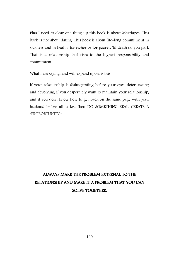Plus I need to clear one thing up this book is about Marriages. This book is not about dating. This book is about life-long commitment in sickness and in health, for richer or for poorer, 'til death do you part. That is a relationship that rises to the highest responsibility and commitment.

What I am saying, and will expand upon, is this:

If your relationship is disintegrating before your eyes, deteriorating and devolving, if you desperately want to maintain your relationship, and if you don't know how to get back on the same page with your husband before all is lost then DO SOMETHING REAL. CREATE A "PROBORTUNITY!"

### ALWAYS MAKE THE PROBLEM EXTERNAL TO THE RELATIONSHIP AND MAKE IT A PROBLEM THAT YOU CAN SOLVE TOGETHER.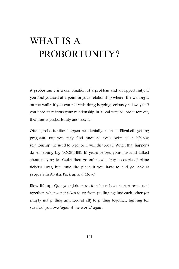## WHAT IS A PROBORTUNITY?

A probortunity is a combination of a problem and an opportunity. If you find yourself at a point in your relationship where "the writing is on the wall." If you can tell "this thing is going seriously sideways." If you need to refocus your relationship in a real way or lose it forever, then find a probortunity and take it.

Often probortunities happen accidentally, such as Elizabeth getting pregnant. But you may find once or even twice in a lifelong relationship the need to reset or it will disappear. When that happens do something big TOGETHER. If, years before, your husband talked about moving to Alaska then go online and buy a couple of plane tickets! Drag him onto the plane if you have to and go look at property in Alaska. Pack up and Move!

Blow life up! Quit your job, move to a houseboat, start a restaurant together, whatever it takes to go from pulling against each other (or simply not pulling anymore at all) to pulling together, fighting for survival, you two "against the world" again.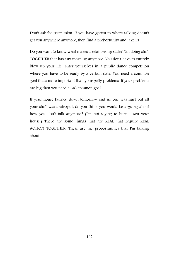Don't ask for permission. If you have gotten to where talking doesn't get you anywhere anymore, then find a probortunity and take it!

Do you want to know what makes a relationship stale? Not doing stuff TOGETHER that has any meaning anymore. You don't have to entirely blow up your life. Enter yourselves in a public dance competition where you have to be ready by a certain date. You need a common goal that's more important than your petty problems. If your problems are big then you need a BIG common goal.

If your house burned down tomorrow and no one was hurt but all your stuff was destroyed; do you think you would be arguing about how you don't talk anymore? (I'm not saying to burn down your house.) There are some things that are REAL that require REAL ACTION TOGETHER. These are the probortunities that I'm talking about.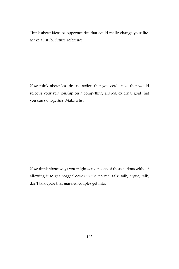Think about ideas or opportunities that could really change your life. Make a list for future reference.

Now think about less drastic action that you could take that would refocus your relationship on a compelling, shared, external goal that you can do together. Make a list.

Now think about ways you might activate one of these actions without allowing it to get bogged down in the normal talk, talk, argue, talk, don't talk cycle that married couples get into.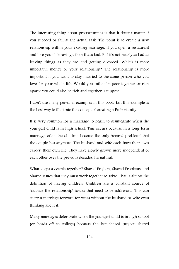The interesting thing about probortunities is that it doesn't matter if you succeed or fail at the actual task. The point is to create a new relationship within your existing marriage. If you open a restaurant and lose your life savings, then that's bad. But it's not nearly as bad as leaving things as they are and getting divorced. Which is more important, money or your relationship? The relationship is more important if you want to stay married to the same person who you love for your whole life. Would you rather be poor together or rich apart? You could also be rich and together, I suppose!

I don't use many personal examples in this book, but this example is the best way to illustrate the concept of creating a Probortunity.

It is very common for a marriage to begin to disintegrate when the youngest child is in high school. This occurs because in a long-term marriage often the children become the only "shared problem" that the couple has anymore. The husband and wife each have their own career, their own life. They have slowly grown more independent of each other over the previous decades. It's natural.

What keeps a couple together? Shared Projects, Shared Problems, and Shared Issues that they must work together to solve. That is almost the definition of having children. Children are a constant source of "outside the relationship" issues that need to be addressed. This can carry a marriage forward for years without the husband or wife even thinking about it.

Many marriages deteriorate when the youngest child is in high school (or heads off to college) because the last shared project, shared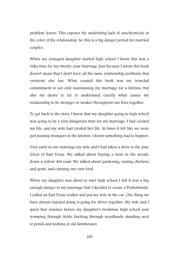problem, leaves. This exposes the underlying lack of synchronicity in the color of the relationship. So, this is a big danger period for married couples.

When my youngest daughter started high school I knew this was a risky time for my twenty-year marriage. Just because I wrote this book doesn't mean that I don't have all the same relationship problems that everyone else has. What created this book was my ironclad commitment to not only maintaining my marriage for a lifetime, but also my desire to try to understand exactly what causes my relationship to be stronger or weaker throughout our lives together.

To get back to the story, I knew that my daughter going to high school was going to be a very dangerous time for my marriage. I had created my life, and my wife had created her life. At times it felt like we were just passing strangers in the kitchen. I knew something had to happen.

Very early in our marriage my wife and I had taken a drive to the pine forest of East Texas. We talked about buying a farm in the woods, down a yellow dirt road. We talked about gardening, raising chickens and goats, and canning our own food.

When my daughter was about to start high school I felt it was a big enough danger to my marriage that I decided to create a Probortunity. I called an East Texas realtor and put my wife in the car. One thing we have always enjoyed doing is going for drives together. My wife and I spent that summer before my daughter's freshman high school year tromping through fields, hacking through woodlands, standing next to ponds and looking at old farmhouses.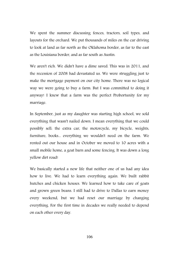We spent the summer discussing fences, tractors, soil types, and layouts for the orchard. We put thousands of miles on the car driving to look at land as far north as the Oklahoma border, as far to the east as the Louisiana border, and as far south as Austin.

We aren't rich. We didn't have a dime saved. This was in 2011, and the recession of 2008 had devastated us. We were struggling just to make the mortgage payment on our city home. There was no logical way we were going to buy a farm. But I was committed to doing it anyway! I knew that a farm was the perfect Probortunity for my marriage.

In September, just as my daughter was starting high school, we sold everything that wasn't nailed down. I mean everything that we could possibly sell: the extra car, the motorcycle, my bicycle, weights, furniture, books... everything we wouldn't need on the farm. We rented out our house and in October we moved to 10 acres with a small mobile home, a goat barn and some fencing. It was down a long yellow dirt road!

We basically started a new life that neither one of us had any idea how to live. We had to learn everything again. We built rabbit hutches and chicken houses. We learned how to take care of goats and grown green beans. I still had to drive to Dallas to earn money every weekend, but we had reset our marriage by changing everything. For the first time in decades we really needed to depend on each other every day.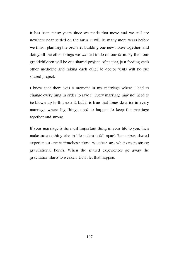It has been many years since we made that move and we still are nowhere near settled on the farm. It will be many more years before we finish planting the orchard, building our new house together, and doing all the other things we wanted to do on our farm. By then our grandchildren will be our shared project. After that, just feeding each other medicine and taking each other to doctor visits will be our shared project.

I knew that there was a moment in my marriage where I had to change everything in order to save it. Every marriage may not need to be blown up to this extent, but it is true that times do arise in every marriage where big things need to happen to keep the marriage together and strong.

If your marriage is the most important thing in your life to you, then make sure nothing else in life makes it fall apart. Remember, shared experiences create "touches," those "touches" are what create strong gravitational bonds. When the shared experiences go away the gravitation starts to weaken. Don't let that happen.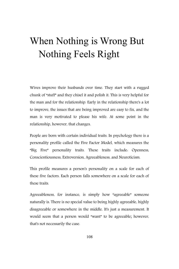# When Nothing is Wrong But Nothing Feels Right

Wives improve their husbands over time. They start with a rugged chunk of "stuff" and they chisel it and polish it. This is very helpful for the man and for the relationship. Early in the relationship there's a lot to improve, the issues that are being improved are easy to fix, and the man is very motivated to please his wife. At some point in the relationship, however, that changes.

People are born with certain individual traits. In psychology there is a personality profile called the Five Factor Model, which measures the "Big Five" personality traits. These traits include: Openness, Conscientiousness, Extroversion, Agreeableness, and Neuroticism.

This profile measures a person's personality on a scale for each of these five factors. Each person falls somewhere on a scale for each of these traits.

Agreeableness, for instance, is simply how "agreeable" someone naturally is. There is no special value to being highly agreeable, highly disagreeable or somewhere in the middle. It's just a measurement. It would seem that a person would "want" to be agreeable; however, that's not necessarily the case.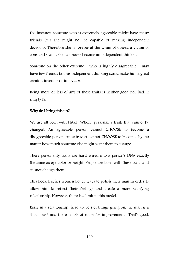For instance, someone who is extremely agreeable might have many friends, but she might not be capable of making independent decisions. Therefore she is forever at the whim of others, a victim of cons and scams, she can never become an independent thinker.

Someone on the other extreme – who is highly disagreeable – may have few friends but his independent thinking could make him a great creator, inventor or innovator.

Being more or less of any of these traits is neither good nor bad. It simply IS.

#### Why do I bring this up?

We are all born with HARD WIRED personality traits that cannot be changed. An agreeable person cannot CHOOSE to become a disagreeable person. An extrovert cannot CHOOSE to become shy, no matter how much someone else might want them to change.

These personality traits are hard-wired into a person's DNA exactly the same as eye color or height. People are born with these traits and cannot change them.

This book teaches women better ways to polish their man in order to allow him to reflect their feelings and create a more satisfying relationship. However, there is a limit to this model.

Early in a relationship there are lots of things going on, the man is a "hot mess," and there is lots of room for improvement. That's good.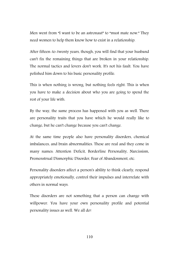Men went from "I want to be an astronaut" to "must mate now." They need women to help them know how to exist in a relationship.

After fifteen-to-twenty years, though, you will find that your husband can't fix the remaining things that are broken in your relationship. The normal tactics and levers don't work. It's not his fault. You have polished him down to his basic personality profile.

This is when nothing is wrong, but nothing feels right. This is when you have to make a decision about who you are going to spend the rest of your life with.

By the way, the same process has happened with you as well. There are personality traits that you have which he would really like to change, but he can't change because you can't change.

At the same time people also have personality disorders, chemical imbalances, and brain abnormalities. These are real and they come in many names: Attention Deficit, Borderline Personality, Narcissism, Premenstrual Dismorphic Disorder, Fear of Abandonment, etc.

Personality disorders affect a person's ability to think clearly, respond appropriately emotionally, control their impulses and interrelate with others in normal ways.

These disorders are not something that a person can change with willpower. You have your own personality profile and potential personality issues as well. We all do!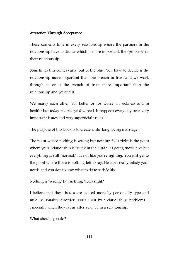#### Attraction Through Acceptance

There comes a time in every relationship where the partners in the relationship have to decide which is more important, the "problem" or their relationship.

Sometimes this comes early, out of the blue. You have to decide is the relationship more important than the breach in trust and we work through it, or is the breach of trust more important than the relationship and we end it.

We marry each other "for better or for worse, in sickness and in health" but today people get divorced. It happens every day over very important issues and very superficial issues.

The purpose of this book is to create a life-long loving marriage.

The point where nothing is wrong but nothing feels right is the point where your relationship is "stuck in the mud." It's going "nowhere" but everything is still "normal." It's not like you're fighting. You just get to the point where there is nothing left to say. He can't really satisfy your needs and you don't know what to do to satisfy his.

Nothing is "wrong" but nothing "feels right."

I believe that these issues are caused more by personality type and mild personality disorder issues than by "relationship" problems – especially when they occur after year 15 in a relationship.

What should you do?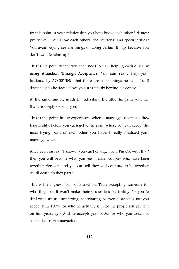By this point in your relationship you both know each others' "issues" pretty well. You know each others' "hot buttons" and "peculiarities." You avoid saying certain things or doing certain things because you don't want to "start up."

This is the point where you each need to start helping each other by using **Attraction Through Acceptance**. You can really help your husband by ACCEPTING that there are some things he can't fix. It doesn't mean he doesn't love you. It is simply beyond his control.

At the same time he needs to understand the little things in your life that are simply "part of you."

This is the point, in my experience, when a marriage becomes a lifelong reality. Before you each get to the point where you can accept the most trying parts of each other you haven't really finalized your marriage vows.

After you can say, "I know... you can't change... and I'm OK with that" then you will become what you see in older couples who have been together "forever" and you can tell they will continue to be together "until death do they part."

This is the highest form of attraction. Truly accepting someone for who they are. It won't make their "issue" less frustrating for you to deal with. It's still unnerving, or irritating, or even a problem. But you accept him 100% for who he actually is... not the projection you put on him years ago. And he accepts you 100% for who you are... not some idea from a magazine.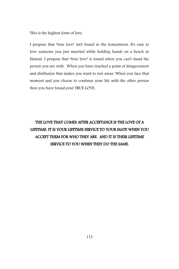This is the highest form of love.

I propose that "true love" isn't found in the honeymoon. It's easy to love someone you just married while holding hands on a beach in Hawaii. I propose that "true love" is found when you can't stand the person you are with. When you have reached a point of disagreement and disillusion that makes you want to run away. When you face that moment and you choose to continue your life with the other person then you have found your TRUE LOVE.

## THE LOVE THAT COMES AFTER ACCEPTANCE IS THE LOVE OF A LIFETIME. IT IS YOUR LIFETIME SERVICE TO YOUR MATE WHEN YOU ACCEPT THEM FOR WHO THEY ARE. AND IT IS THEIR LIFETIME SERVICE TO YOU WHEN THEY DO THE SAME.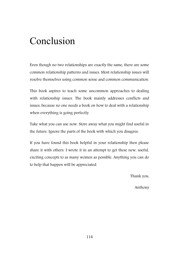## Conclusion

Even though no two relationships are exactly the same, there are some common relationship patterns and issues. Most relationship issues will resolve themselves using common sense and common communication.

This book aspires to teach some uncommon approaches to dealing with relationship issues. The book mainly addresses conflicts and issues, because no one needs a book on how to deal with a relationship when everything is going perfectly.

Take what you can use now. Store away what you might find useful in the future. Ignore the parts of the book with which you disagree.

If you have found this book helpful in your relationship then please share it with others. I wrote it in an attempt to get these new, useful, exciting concepts to as many women as possible. Anything you can do to help that happen will be appreciated.

Thank you,

Anthony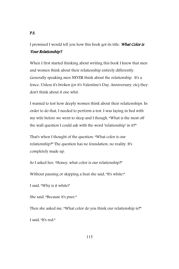## I promised I would tell you how this book got its title. What Color is Your Relationship.?

When I first started thinking about writing this book I knew that men and women think about their relationship entirely differently. Generally speaking men NEVER think about the relationship. It's a fence. Unless it's broken (or it's Valentine's Day, Anniversary, etc) they don't think about it one whit.

I wanted to test how deeply women think about their relationships. In order to do that, I needed to perform a test. I was laying in bed with my wife before we went to sleep and I though, "What is the most off the wall question I could ask with the word 'relationship' in it?"

That's when I thought of the question: "What color is our relationship?" The question has no foundation, no reality. It's completely made up.

So I asked her, "Honey, what color is our relationship?"

Without pausing or skipping a beat she said, "It's white!"

I said, "Why is it white?

She said, "Because it's pure."

Then she asked me, "What color do you think our relationship is?"

I said, "It's red."

### P.S.